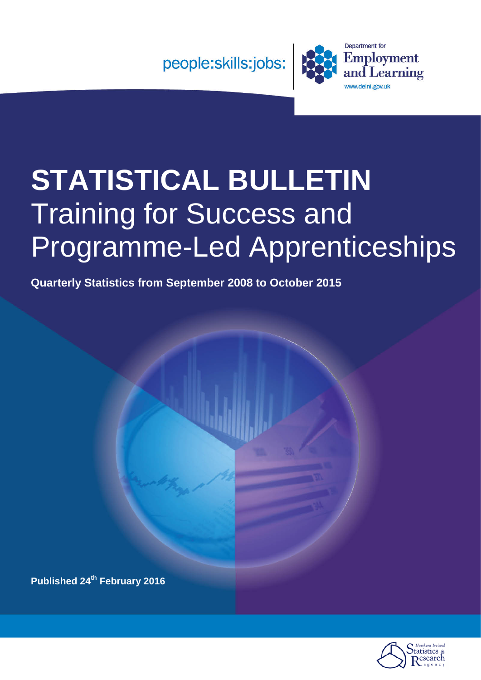

# **STATISTICAL BULLETIN** Training for Success and Programme-Led Apprenticeships

**Quarterly Statistics from September 2008 to October 2015**

**Published 24th February 2016**

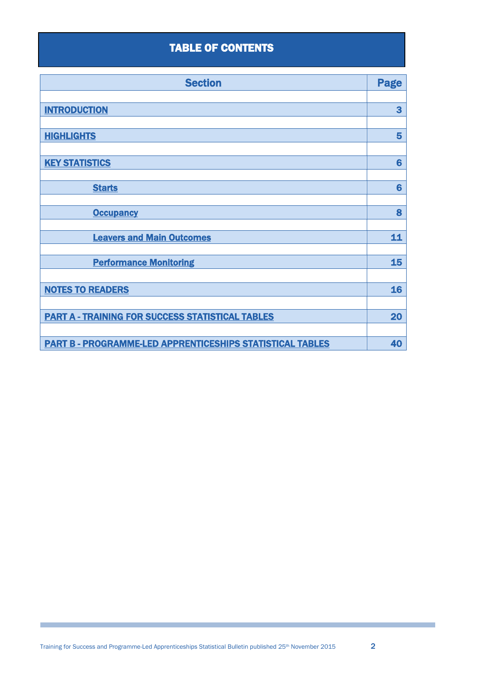# TABLE OF CONTENTS

| <b>Section</b>                                                   | <b>Page</b>     |
|------------------------------------------------------------------|-----------------|
|                                                                  |                 |
| <b>INTRODUCTION</b>                                              | 3               |
|                                                                  |                 |
| <b>HIGHLIGHTS</b>                                                | 5               |
|                                                                  |                 |
| <b>KEY STATISTICS</b>                                            | $6\phantom{1}6$ |
|                                                                  |                 |
| <b>Starts</b>                                                    | 6               |
|                                                                  |                 |
| <b>Occupancy</b>                                                 | 8               |
|                                                                  |                 |
| <b>Leavers and Main Outcomes</b>                                 | 11              |
|                                                                  |                 |
| <b>Performance Monitoring</b>                                    | 15              |
|                                                                  |                 |
| <b>NOTES TO READERS</b>                                          | 16              |
|                                                                  |                 |
| <b>PART A - TRAINING FOR SUCCESS STATISTICAL TABLES</b>          | 20              |
|                                                                  |                 |
| <b>PART B - PROGRAMME-LED APPRENTICESHIPS STATISTICAL TABLES</b> | 40              |

Г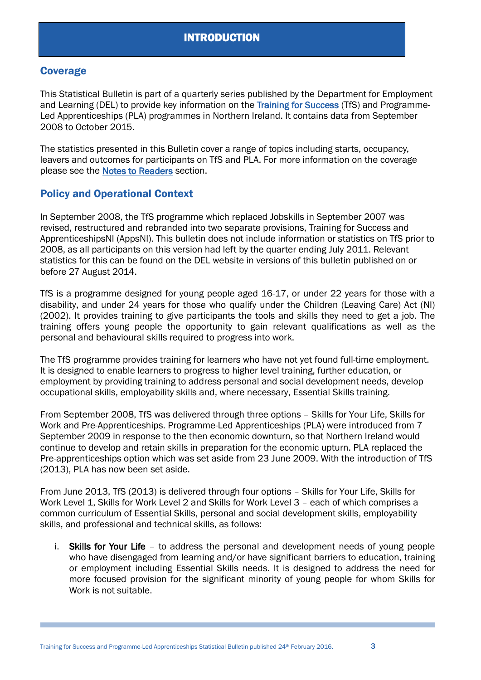# <span id="page-2-0"></span>**Coverage**

This Statistical Bulletin is part of a quarterly series published by the Department for Employment and Learning (DEL) to provide key information on the [Training for Success](http://www.nidirect.gov.uk/trainingforsuccess) (TfS) and Programme-Led Apprenticeships (PLA) programmes in Northern Ireland. It contains data from September 2008 to October 2015.

The statistics presented in this Bulletin cover a range of topics including starts, occupancy, leavers and outcomes for participants on TfS and PLA. For more information on the coverage please see the **Notes to Readers** section.

# Policy and Operational Context

In September 2008, the TfS programme which replaced Jobskills in September 2007 was revised, restructured and rebranded into two separate provisions, Training for Success and ApprenticeshipsNI (AppsNI). This bulletin does not include information or statistics on TfS prior to 2008, as all participants on this version had left by the quarter ending July 2011. Relevant statistics for this can be found on the DEL website in versions of this bulletin published on or before 27 August 2014.

TfS is a programme designed for young people aged 16-17, or under 22 years for those with a disability, and under 24 years for those who qualify under the Children (Leaving Care) Act (NI) (2002). It provides training to give participants the tools and skills they need to get a job. The training offers young people the opportunity to gain relevant qualifications as well as the personal and behavioural skills required to progress into work.

The TfS programme provides training for learners who have not yet found full-time employment. It is designed to enable learners to progress to higher level training, further education, or employment by providing training to address personal and social development needs, develop occupational skills, employability skills and, where necessary, Essential Skills training.

From September 2008, TfS was delivered through three options – Skills for Your Life, Skills for Work and Pre-Apprenticeships. Programme-Led Apprenticeships (PLA) were introduced from 7 September 2009 in response to the then economic downturn, so that Northern Ireland would continue to develop and retain skills in preparation for the economic upturn. PLA replaced the Pre-apprenticeships option which was set aside from 23 June 2009. With the introduction of TfS (2013), PLA has now been set aside.

From June 2013, TfS (2013) is delivered through four options – Skills for Your Life, Skills for Work Level 1, Skills for Work Level 2 and Skills for Work Level 3 – each of which comprises a common curriculum of Essential Skills, personal and social development skills, employability skills, and professional and technical skills, as follows:

i. Skills for Your Life – to address the personal and development needs of young people who have disengaged from learning and/or have significant barriers to education, training or employment including Essential Skills needs. It is designed to address the need for more focused provision for the significant minority of young people for whom Skills for Work is not suitable.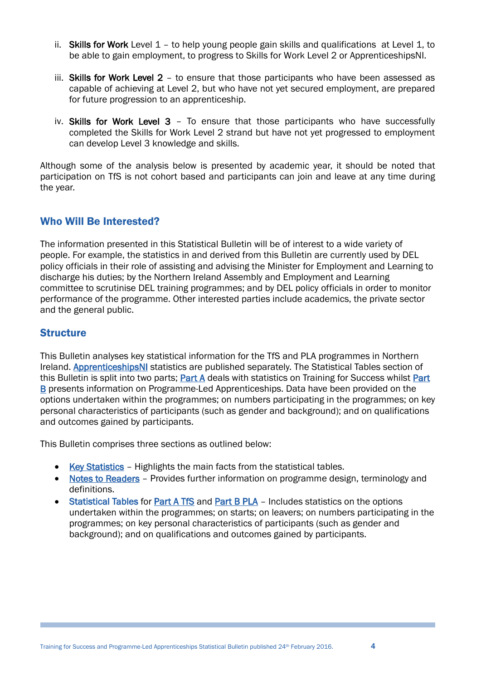- ii. Skills for Work Level 1 to help young people gain skills and qualifications at Level 1, to be able to gain employment, to progress to Skills for Work Level 2 or ApprenticeshipsNI.
- iii. Skills for Work Level 2 to ensure that those participants who have been assessed as capable of achieving at Level 2, but who have not yet secured employment, are prepared for future progression to an apprenticeship.
- iv. Skills for Work Level 3 To ensure that those participants who have successfully completed the Skills for Work Level 2 strand but have not yet progressed to employment can develop Level 3 knowledge and skills.

Although some of the analysis below is presented by academic year, it should be noted that participation on TfS is not cohort based and participants can join and leave at any time during the year.

# Who Will Be Interested?

The information presented in this Statistical Bulletin will be of interest to a wide variety of people. For example, the statistics in and derived from this Bulletin are currently used by DEL policy officials in their role of assisting and advising the Minister for Employment and Learning to discharge his duties; by the Northern Ireland Assembly and Employment and Learning committee to scrutinise DEL training programmes; and by DEL policy officials in order to monitor performance of the programme. Other interested parties include academics, the private sector and the general public.

# **Structure**

This Bulletin analyses key statistical information for the TfS and PLA programmes in Northern Ireland. [ApprenticeshipsNI](http://www.nidirect.gov.uk/apprenticeships) statistics are published separately. The Statistical Tables section of this Bulletin is split into two parts; [Part A](#page-19-0) deals with statistics on Training for Success whilst [Part](#page-39-1)  [B](#page-39-1) presents information on Programme-Led Apprenticeships. Data have been provided on the options undertaken within the programmes; on numbers participating in the programmes; on key personal characteristics of participants (such as gender and background); and on qualifications and outcomes gained by participants.

This Bulletin comprises three sections as outlined below:

- [Key Statistics](#page-5-2) Highlights the main facts from the statistical tables.
- [Notes to Readers](#page-15-0) Provides further information on programme design, terminology and definitions.
- Statistical Tables for [Part A TfS](#page-19-0) and [Part B PLA](#page-39-0) Includes statistics on the options undertaken within the programmes; on starts; on leavers; on numbers participating in the programmes; on key personal characteristics of participants (such as gender and background); and on qualifications and outcomes gained by participants.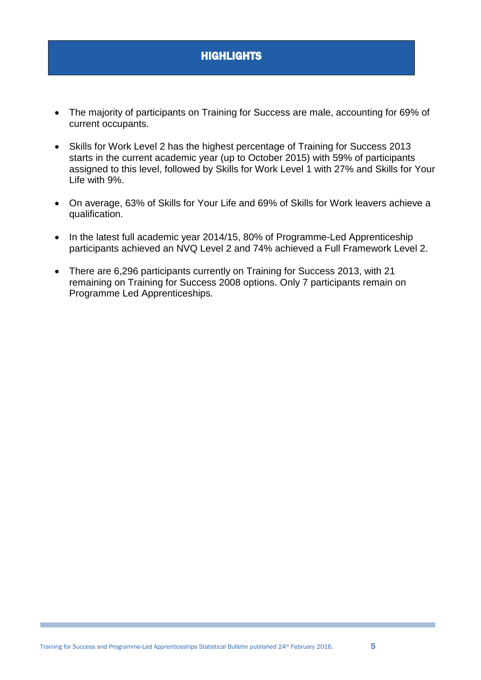# <span id="page-4-0"></span>**HIGHLIGHTS**

- The majority of participants on Training for Success are male, accounting for 69% of current occupants.
- Skills for Work Level 2 has the highest percentage of Training for Success 2013 starts in the current academic year (up to October 2015) with 59% of participants assigned to this level, followed by Skills for Work Level 1 with 27% and Skills for Your Life with 9%.
- On average, 63% of Skills for Your Life and 69% of Skills for Work leavers achieve a qualification.
- In the latest full academic year 2014/15, 80% of Programme-Led Apprenticeship participants achieved an NVQ Level 2 and 74% achieved a Full Framework Level 2.
- There are 6,296 participants currently on Training for Success 2013, with 21 remaining on Training for Success 2008 options. Only 7 participants remain on Programme Led Apprenticeships.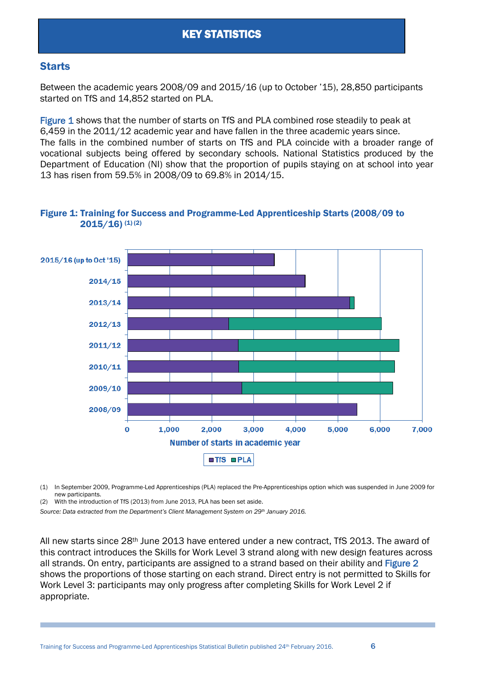# <span id="page-5-2"></span><span id="page-5-1"></span><span id="page-5-0"></span>**Starts**

Between the academic years 2008/09 and 2015/16 (up to October '15), 28,850 participants started on TfS and 14,852 started on PLA.

Figure 1 shows that the number of starts on TfS and PLA combined rose steadily to peak at 6,459 in the 2011/12 academic year and have fallen in the three academic years since. The falls in the combined number of starts on TfS and PLA coincide with a broader range of vocational subjects being offered by secondary schools. National Statistics produced by the Department of Education (NI) show that the proportion of pupils staying on at school into year 13 has risen from 59.5% in 2008/09 to 69.8% in 2014/15.



#### Figure 1: Training for Success and Programme-Led Apprenticeship Starts (2008/09 to  $2015/16$ ) (1) (2)

(1) In September 2009, Programme-Led Apprenticeships (PLA) replaced the Pre-Apprenticeships option which was suspended in June 2009 for new participants.

(2) With the introduction of TfS (2013) from June 2013, PLA has been set aside.

*Source: Data extracted from the Department's Client Management System on 29th January 2016.*

All new starts since 28th June 2013 have entered under a new contract, TfS 2013. The award of this contract introduces the Skills for Work Level 3 strand along with new design features across all strands. On entry, participants are assigned to a strand based on their ability and Figure 2 shows the proportions of those starting on each strand. Direct entry is not permitted to Skills for Work Level 3: participants may only progress after completing Skills for Work Level 2 if appropriate.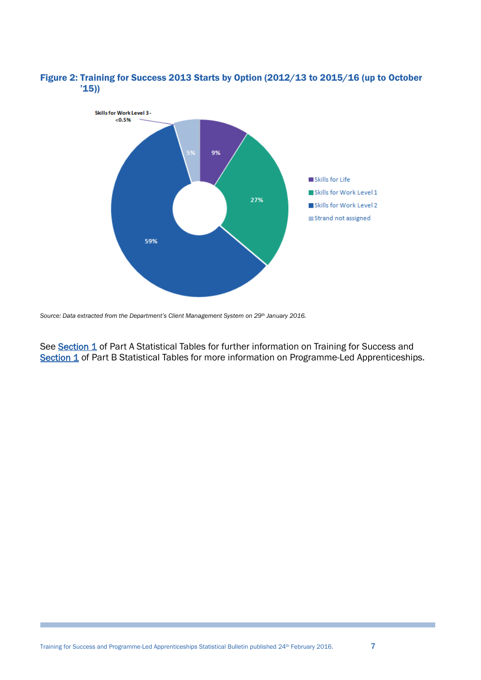

#### Figure 2: Training for Success 2013 Starts by Option (2012/13 to 2015/16 (up to October '15))

See [Section 1](#page-20-0) of Part A Statistical Tables for further information on Training for Success and [Section 1](#page-40-0) of Part B Statistical Tables for more information on Programme-Led Apprenticeships.

*Source: Data extracted from the Department's Client Management System on 29th January 2016.*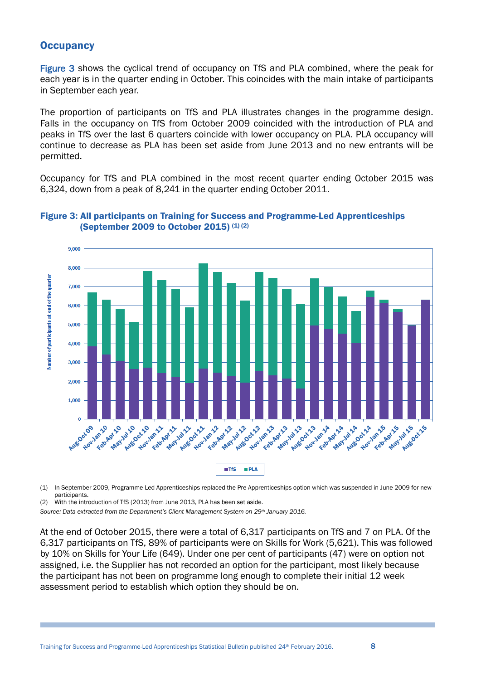# <span id="page-7-0"></span>**Occupancy**

Figure 3 shows the cyclical trend of occupancy on TfS and PLA combined, where the peak for each year is in the quarter ending in October. This coincides with the main intake of participants in September each year.

The proportion of participants on TfS and PLA illustrates changes in the programme design. Falls in the occupancy on TfS from October 2009 coincided with the introduction of PLA and peaks in TfS over the last 6 quarters coincide with lower occupancy on PLA. PLA occupancy will continue to decrease as PLA has been set aside from June 2013 and no new entrants will be permitted.

Occupancy for TfS and PLA combined in the most recent quarter ending October 2015 was 6,324, down from a peak of 8,241 in the quarter ending October 2011.



#### Figure 3: All participants on Training for Success and Programme-Led Apprenticeships (September 2009 to October 2015)  $(1)(2)$

(1) In September 2009, Programme-Led Apprenticeships replaced the Pre-Apprenticeships option which was suspended in June 2009 for new participants.

(2) With the introduction of TfS (2013) from June 2013, PLA has been set aside.

*Source: Data extracted from the Department's Client Management System on 29th January 2016.*

At the end of October 2015, there were a total of 6,317 participants on TfS and 7 on PLA. Of the 6,317 participants on TfS, 89% of participants were on Skills for Work (5,621). This was followed by 10% on Skills for Your Life (649). Under one per cent of participants (47) were on option not assigned, i.e. the Supplier has not recorded an option for the participant, most likely because the participant has not been on programme long enough to complete their initial 12 week assessment period to establish which option they should be on.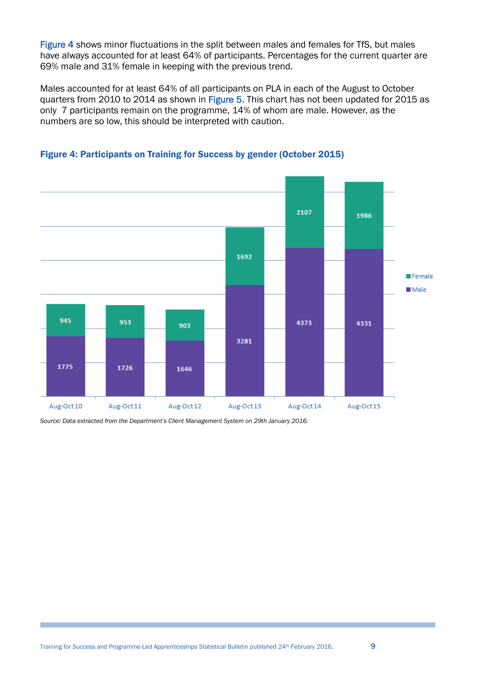Figure 4 shows minor fluctuations in the split between males and females for TfS, but males have always accounted for at least 64% of participants. Percentages for the current quarter are 69% male and 31% female in keeping with the previous trend.

Males accounted for at least 64% of all participants on PLA in each of the August to October quarters from 2010 to 2014 as shown in Figure 5. This chart has not been updated for 2015 as only 7 participants remain on the programme, 14% of whom are male. However, as the numbers are so low, this should be interpreted with caution.



#### Figure 4: Participants on Training for Success by gender (October 2015)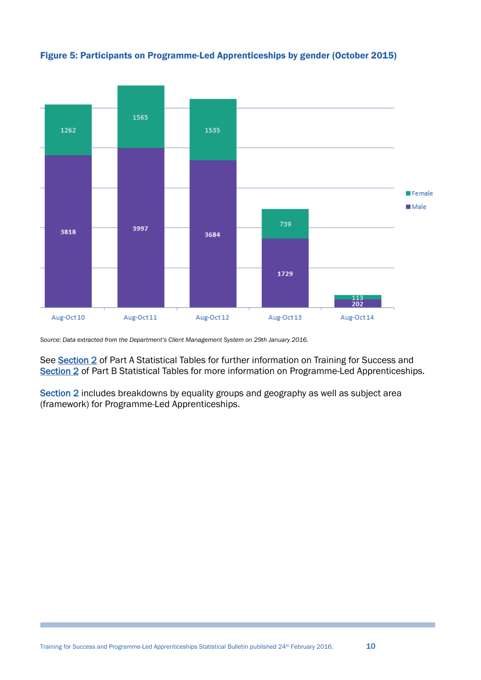

Figure 5: Participants on Programme-Led Apprenticeships by gender (October 2015)

*Source: Data extracted from the Department's Client Management System on 29th January 2016.*

See [Section 2](#page-22-0) of Part A Statistical Tables for further information on Training for Success and [Section 2](#page-41-0) of Part B Statistical Tables for more information on Programme-Led Apprenticeships.

<span id="page-9-0"></span>Section 2 includes breakdowns by equality groups and geography as well as subject area (framework) for Programme-Led Apprenticeships.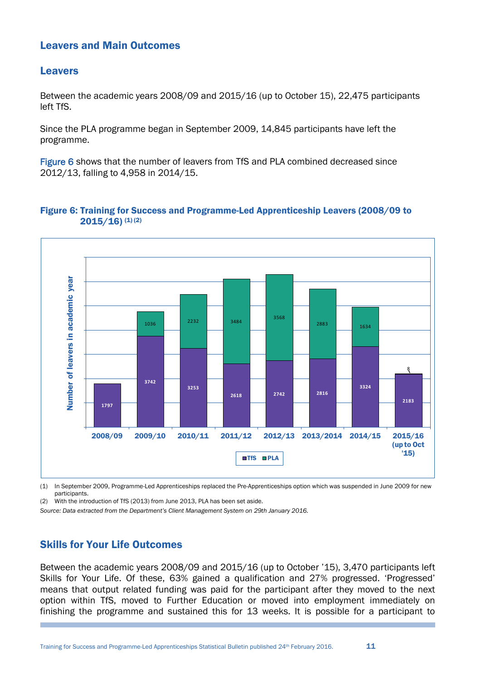# Leavers and Main Outcomes

## Leavers

Between the academic years 2008/09 and 2015/16 (up to October 15), 22,475 participants left TfS.

Since the PLA programme began in September 2009, 14,845 participants have left the programme.

Figure 6 shows that the number of leavers from TfS and PLA combined decreased since 2012/13, falling to 4,958 in 2014/15.

#### Figure 6: Training for Success and Programme-Led Apprenticeship Leavers (2008/09 to  $2015/16$ ) (1) (2)



(1) In September 2009, Programme-Led Apprenticeships replaced the Pre-Apprenticeships option which was suspended in June 2009 for new participants.

(2) With the introduction of TfS (2013) from June 2013, PLA has been set aside.

*Source: Data extracted from the Department's Client Management System on 29th January 2016.*

# Skills for Your Life Outcomes

Between the academic years 2008/09 and 2015/16 (up to October '15), 3,470 participants left Skills for Your Life. Of these, 63% gained a qualification and 27% progressed. 'Progressed' means that output related funding was paid for the participant after they moved to the next option within TfS, moved to Further Education or moved into employment immediately on finishing the programme and sustained this for 13 weeks. It is possible for a participant to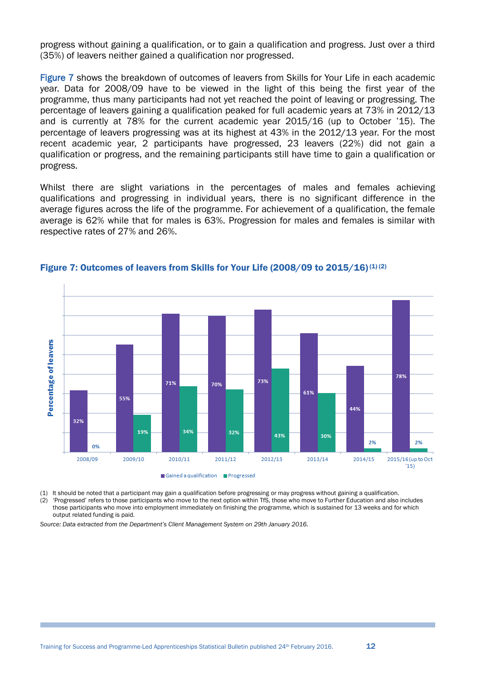progress without gaining a qualification, or to gain a qualification and progress. Just over a third (35%) of leavers neither gained a qualification nor progressed.

Figure 7 shows the breakdown of outcomes of leavers from Skills for Your Life in each academic year. Data for 2008/09 have to be viewed in the light of this being the first year of the programme, thus many participants had not yet reached the point of leaving or progressing. The percentage of leavers gaining a qualification peaked for full academic years at 73% in 2012/13 and is currently at 78% for the current academic year 2015/16 (up to October '15). The percentage of leavers progressing was at its highest at 43% in the 2012/13 year. For the most recent academic year, 2 participants have progressed, 23 leavers (22%) did not gain a qualification or progress, and the remaining participants still have time to gain a qualification or progress.

Whilst there are slight variations in the percentages of males and females achieving qualifications and progressing in individual years, there is no significant difference in the average figures across the life of the programme. For achievement of a qualification, the female average is 62% while that for males is 63%. Progression for males and females is similar with respective rates of 27% and 26%.



#### Figure 7: Outcomes of leavers from Skills for Your Life (2008/09 to 2015/16)<sup>(1)(2)</sup>

(1) It should be noted that a participant may gain a qualification before progressing or may progress without gaining a qualification. (2) 'Progressed' refers to those participants who move to the next option within TfS, those who move to Further Education and also includes

those participants who move into employment immediately on finishing the programme, which is sustained for 13 weeks and for which output related funding is paid.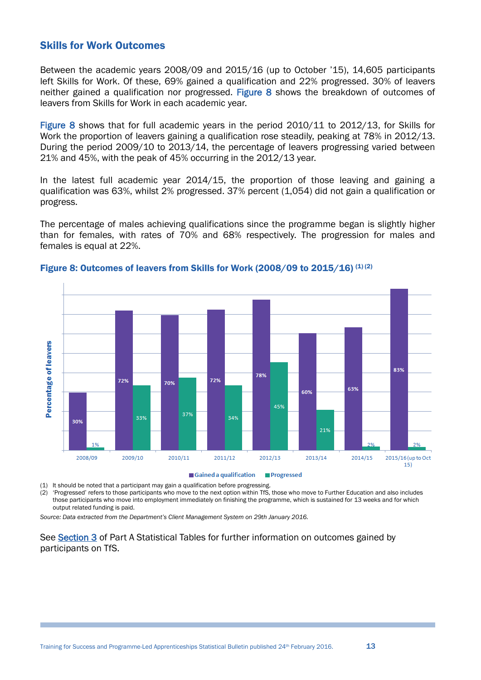#### Skills for Work Outcomes

Between the academic years 2008/09 and 2015/16 (up to October '15), 14,605 participants left Skills for Work. Of these, 69% gained a qualification and 22% progressed. 30% of leavers neither gained a qualification nor progressed. Figure 8 shows the breakdown of outcomes of leavers from Skills for Work in each academic year.

Figure 8 shows that for full academic years in the period 2010/11 to 2012/13, for Skills for Work the proportion of leavers gaining a qualification rose steadily, peaking at 78% in 2012/13. During the period 2009/10 to 2013/14, the percentage of leavers progressing varied between 21% and 45%, with the peak of 45% occurring in the 2012/13 year.

In the latest full academic year 2014/15, the proportion of those leaving and gaining a qualification was 63%, whilst 2% progressed. 37% percent (1,054) did not gain a qualification or progress.

The percentage of males achieving qualifications since the programme began is slightly higher than for females, with rates of 70% and 68% respectively. The progression for males and females is equal at 22%.



#### Figure 8: Outcomes of leavers from Skills for Work (2008/09 to 2015/16) (1) (2)

Gained a qualification **Progressed** 

(1) It should be noted that a participant may gain a qualification before progressing.

(2) 'Progressed' refers to those participants who move to the next option within TfS, those who move to Further Education and also includes those participants who move into employment immediately on finishing the programme, which is sustained for 13 weeks and for which output related funding is paid.

*Source: Data extracted from the Department's Client Management System on 29th January 2016.*

See Section 3 of Part A Statistical Tables for further information on outcomes gained by participants on TfS.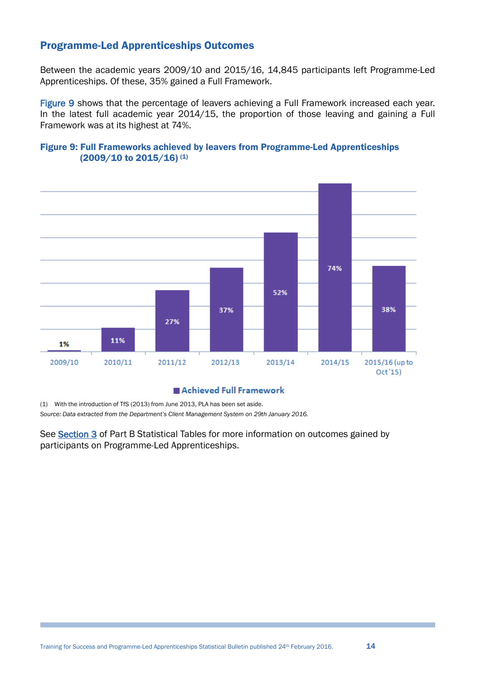# Programme-Led Apprenticeships Outcomes

Between the academic years 2009/10 and 2015/16, 14,845 participants left Programme-Led Apprenticeships. Of these, 35% gained a Full Framework.

Figure 9 shows that the percentage of leavers achieving a Full Framework increased each year. In the latest full academic year 2014/15, the proportion of those leaving and gaining a Full Framework was at its highest at 74%.

#### Figure 9: Full Frameworks achieved by leavers from Programme-Led Apprenticeships (2009/10 to 2015/16) (1)



#### Achieved Full Framework

(1) With the introduction of TfS (2013) from June 2013, PLA has been set aside.

*Source: Data extracted from the Department's Client Management System on 29th January 2016.*

See [Section 3](#page-47-0) of Part B Statistical Tables for more information on outcomes gained by participants on Programme-Led Apprenticeships.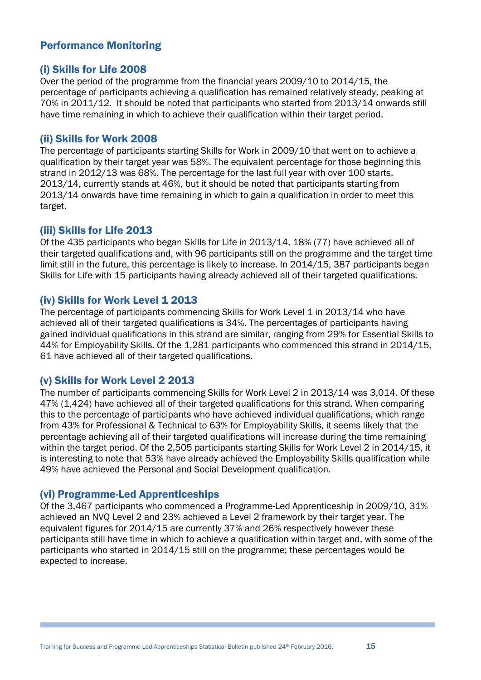# <span id="page-14-0"></span>Performance Monitoring

## (i) Skills for Life 2008

Over the period of the programme from the financial years 2009/10 to 2014/15, the percentage of participants achieving a qualification has remained relatively steady, peaking at 70% in 2011/12. It should be noted that participants who started from 2013/14 onwards still have time remaining in which to achieve their qualification within their target period.

#### (ii) Skills for Work 2008

The percentage of participants starting Skills for Work in 2009/10 that went on to achieve a qualification by their target year was 58%. The equivalent percentage for those beginning this strand in 2012/13 was 68%. The percentage for the last full year with over 100 starts, 2013/14, currently stands at 46%, but it should be noted that participants starting from 2013/14 onwards have time remaining in which to gain a qualification in order to meet this target.

# (iii) Skills for Life 2013

Of the 435 participants who began Skills for Life in 2013/14, 18% (77) have achieved all of their targeted qualifications and, with 96 participants still on the programme and the target time limit still in the future, this percentage is likely to increase. In 2014/15, 387 participants began Skills for Life with 15 participants having already achieved all of their targeted qualifications.

# (iv) Skills for Work Level 1 2013

The percentage of participants commencing Skills for Work Level 1 in 2013/14 who have achieved all of their targeted qualifications is 34%. The percentages of participants having gained individual qualifications in this strand are similar, ranging from 29% for Essential Skills to 44% for Employability Skills. Of the 1,281 participants who commenced this strand in 2014/15, 61 have achieved all of their targeted qualifications.

# (v) Skills for Work Level 2 2013

The number of participants commencing Skills for Work Level 2 in 2013/14 was 3,014. Of these 47% (1,424) have achieved all of their targeted qualifications for this strand. When comparing this to the percentage of participants who have achieved individual qualifications, which range from 43% for Professional & Technical to 63% for Employability Skills, it seems likely that the percentage achieving all of their targeted qualifications will increase during the time remaining within the target period. Of the 2,505 participants starting Skills for Work Level 2 in 2014/15, it is interesting to note that 53% have already achieved the Employability Skills qualification while 49% have achieved the Personal and Social Development qualification.

#### (vi) Programme-Led Apprenticeships

Of the 3,467 participants who commenced a Programme-Led Apprenticeship in 2009/10, 31% achieved an NVQ Level 2 and 23% achieved a Level 2 framework by their target year. The equivalent figures for 2014/15 are currently 37% and 26% respectively however these participants still have time in which to achieve a qualification within target and, with some of the participants who started in 2014/15 still on the programme; these percentages would be expected to increase.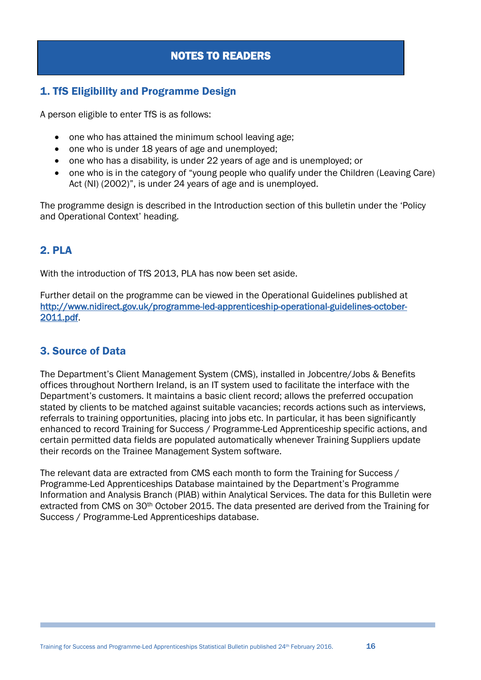# NOTES TO READERS

# <span id="page-15-0"></span>1. TfS Eligibility and Programme Design

A person eligible to enter TfS is as follows:

- one who has attained the minimum school leaving age;
- one who is under 18 years of age and unemployed:
- one who has a disability, is under 22 years of age and is unemployed; or
- one who is in the category of "young people who qualify under the Children (Leaving Care) Act (NI) (2002)", is under 24 years of age and is unemployed.

The programme design is described in the Introduction section of this bulletin under the 'Policy and Operational Context' heading.

# 2. PLA

With the introduction of TfS 2013, PLA has now been set aside.

Further detail on the programme can be viewed in the Operational Guidelines published at [http://www.nidirect.gov.uk/programme-led-apprenticeship-operational-guidelines-october-](http://www.nidirect.gov.uk/programme-led-apprenticeship-operational-guidelines-october-2011.pdf)[2011.pdf.](http://www.nidirect.gov.uk/programme-led-apprenticeship-operational-guidelines-october-2011.pdf)

# 3. Source of Data

The Department's Client Management System (CMS), installed in Jobcentre/Jobs & Benefits offices throughout Northern Ireland, is an IT system used to facilitate the interface with the Department's customers. It maintains a basic client record; allows the preferred occupation stated by clients to be matched against suitable vacancies; records actions such as interviews, referrals to training opportunities, placing into jobs etc. In particular, it has been significantly enhanced to record Training for Success / Programme-Led Apprenticeship specific actions, and certain permitted data fields are populated automatically whenever Training Suppliers update their records on the Trainee Management System software.

The relevant data are extracted from CMS each month to form the Training for Success / Programme-Led Apprenticeships Database maintained by the Department's Programme Information and Analysis Branch (PIAB) within Analytical Services. The data for this Bulletin were extracted from CMS on 30th October 2015. The data presented are derived from the Training for Success / Programme-Led Apprenticeships database.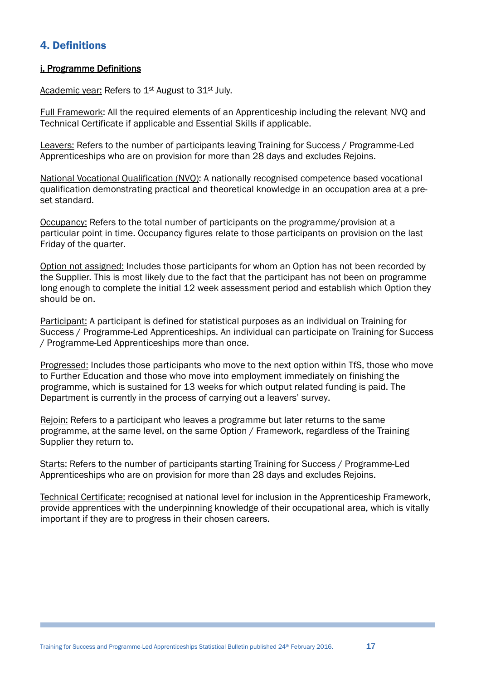# 4. Definitions

#### i. Programme Definitions

Academic year: Refers to 1<sup>st</sup> August to 31<sup>st</sup> July.

Full Framework: All the required elements of an Apprenticeship including the relevant NVQ and Technical Certificate if applicable and Essential Skills if applicable.

Leavers: Refers to the number of participants leaving Training for Success / Programme-Led Apprenticeships who are on provision for more than 28 days and excludes Rejoins.

National Vocational Qualification (NVQ): A nationally recognised competence based vocational qualification demonstrating practical and theoretical knowledge in an occupation area at a preset standard.

Occupancy: Refers to the total number of participants on the programme/provision at a particular point in time. Occupancy figures relate to those participants on provision on the last Friday of the quarter.

Option not assigned: Includes those participants for whom an Option has not been recorded by the Supplier. This is most likely due to the fact that the participant has not been on programme long enough to complete the initial 12 week assessment period and establish which Option they should be on.

Participant: A participant is defined for statistical purposes as an individual on Training for Success / Programme-Led Apprenticeships. An individual can participate on Training for Success / Programme-Led Apprenticeships more than once.

Progressed: Includes those participants who move to the next option within TfS, those who move to Further Education and those who move into employment immediately on finishing the programme, which is sustained for 13 weeks for which output related funding is paid. The Department is currently in the process of carrying out a leavers' survey.

Rejoin: Refers to a participant who leaves a programme but later returns to the same programme, at the same level, on the same Option / Framework, regardless of the Training Supplier they return to.

Starts: Refers to the number of participants starting Training for Success / Programme-Led Apprenticeships who are on provision for more than 28 days and excludes Rejoins.

Technical Certificate: recognised at national level for inclusion in the Apprenticeship Framework, provide apprentices with the underpinning knowledge of their occupational area, which is vitally important if they are to progress in their chosen careers.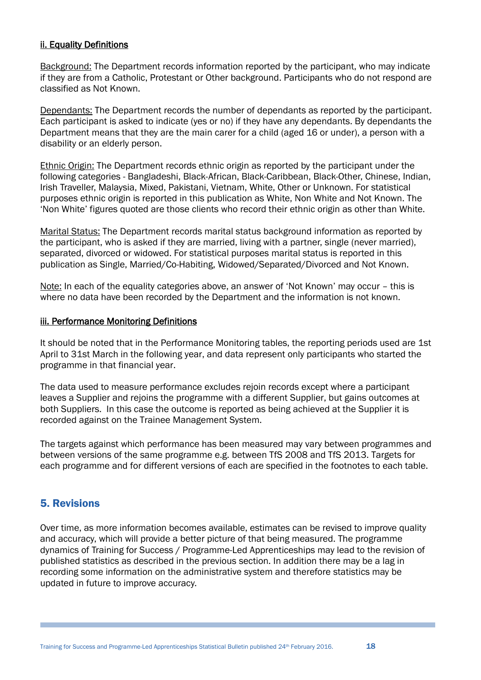#### ii. Equality Definitions

Background: The Department records information reported by the participant, who may indicate if they are from a Catholic, Protestant or Other background. Participants who do not respond are classified as Not Known.

Dependants: The Department records the number of dependants as reported by the participant. Each participant is asked to indicate (yes or no) if they have any dependants. By dependants the Department means that they are the main carer for a child (aged 16 or under), a person with a disability or an elderly person.

Ethnic Origin: The Department records ethnic origin as reported by the participant under the following categories - Bangladeshi, Black-African, Black-Caribbean, Black-Other, Chinese, Indian, Irish Traveller, Malaysia, Mixed, Pakistani, Vietnam, White, Other or Unknown. For statistical purposes ethnic origin is reported in this publication as White, Non White and Not Known. The 'Non White' figures quoted are those clients who record their ethnic origin as other than White.

Marital Status: The Department records marital status background information as reported by the participant, who is asked if they are married, living with a partner, single (never married), separated, divorced or widowed. For statistical purposes marital status is reported in this publication as Single, Married/Co-Habiting, Widowed/Separated/Divorced and Not Known.

Note: In each of the equality categories above, an answer of 'Not Known' may occur – this is where no data have been recorded by the Department and the information is not known.

#### iii. Performance Monitoring Definitions

It should be noted that in the Performance Monitoring tables, the reporting periods used are 1st April to 31st March in the following year, and data represent only participants who started the programme in that financial year.

The data used to measure performance excludes rejoin records except where a participant leaves a Supplier and rejoins the programme with a different Supplier, but gains outcomes at both Suppliers. In this case the outcome is reported as being achieved at the Supplier it is recorded against on the Trainee Management System.

The targets against which performance has been measured may vary between programmes and between versions of the same programme e.g. between TfS 2008 and TfS 2013. Targets for each programme and for different versions of each are specified in the footnotes to each table.

# 5. Revisions

Over time, as more information becomes available, estimates can be revised to improve quality and accuracy, which will provide a better picture of that being measured. The programme dynamics of Training for Success / Programme-Led Apprenticeships may lead to the revision of published statistics as described in the previous section. In addition there may be a lag in recording some information on the administrative system and therefore statistics may be updated in future to improve accuracy.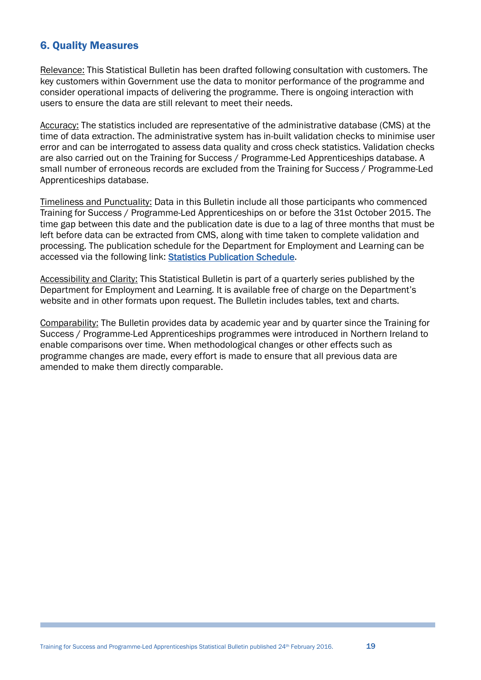# 6. Quality Measures

Relevance: This Statistical Bulletin has been drafted following consultation with customers. The key customers within Government use the data to monitor performance of the programme and consider operational impacts of delivering the programme. There is ongoing interaction with users to ensure the data are still relevant to meet their needs.

Accuracy: The statistics included are representative of the administrative database (CMS) at the time of data extraction. The administrative system has in-built validation checks to minimise user error and can be interrogated to assess data quality and cross check statistics. Validation checks are also carried out on the Training for Success / Programme-Led Apprenticeships database. A small number of erroneous records are excluded from the Training for Success / Programme-Led Apprenticeships database.

Timeliness and Punctuality: Data in this Bulletin include all those participants who commenced Training for Success / Programme-Led Apprenticeships on or before the 31st October 2015. The time gap between this date and the publication date is due to a lag of three months that must be left before data can be extracted from CMS, along with time taken to complete validation and processing. The publication schedule for the Department for Employment and Learning can be accessed via the following link: [Statistics Publication Schedule.](https://www.delni.gov.uk/publications/statistics-publication-schedule)

Accessibility and Clarity: This Statistical Bulletin is part of a quarterly series published by the Department for Employment and Learning. It is available free of charge on the Department's website and in other formats upon request. The Bulletin includes tables, text and charts.

Comparability: The Bulletin provides data by academic year and by quarter since the Training for Success / Programme-Led Apprenticeships programmes were introduced in Northern Ireland to enable comparisons over time. When methodological changes or other effects such as programme changes are made, every effort is made to ensure that all previous data are amended to make them directly comparable.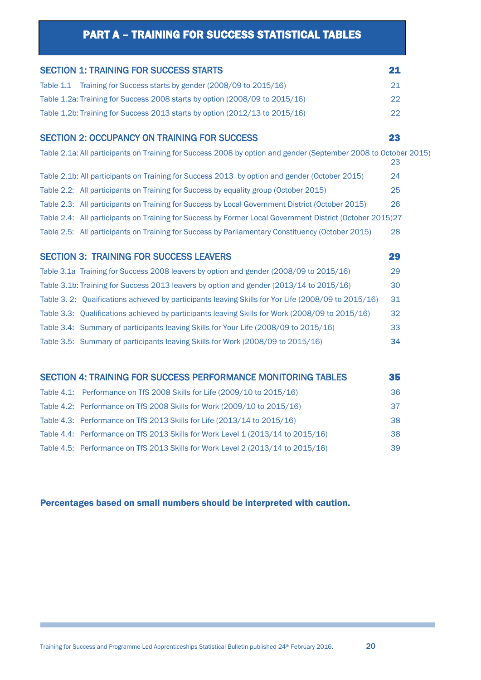# PART A – TRAINING FOR SUCCESS STATISTICAL TABLES

<span id="page-19-0"></span>

| <b>SECTION 1: TRAINING FOR SUCCESS STARTS</b>                                                                   | 21 |
|-----------------------------------------------------------------------------------------------------------------|----|
| Table 1.1 Training for Success starts by gender (2008/09 to 2015/16)                                            | 21 |
| Table 1.2a: Training for Success 2008 starts by option (2008/09 to 2015/16)                                     | 22 |
| Table 1.2b: Training for Success 2013 starts by option (2012/13 to 2015/16)                                     | 22 |
| <b>SECTION 2: OCCUPANCY ON TRAINING FOR SUCCESS</b>                                                             | 23 |
| Table 2.1a: All participants on Training for Success 2008 by option and gender (September 2008 to October 2015) | 23 |
| Table 2.1b: All participants on Training for Success 2013 by option and gender (October 2015)                   | 24 |
| Table 2.2: All participants on Training for Success by equality group (October 2015)                            | 25 |
| Table 2.3: All participants on Training for Success by Local Government District (October 2015)                 | 26 |
| Table 2.4: All participants on Training for Success by Former Local Government District (October 2015)27        |    |
| Table 2.5: All participants on Training for Success by Parliamentary Constituency (October 2015)                | 28 |
| <b>SECTION 3: TRAINING FOR SUCCESS LEAVERS</b>                                                                  | 29 |
| Table 3.1a Training for Success 2008 leavers by option and gender (2008/09 to 2015/16)                          | 29 |
| Table 3.1b: Training for Success 2013 leavers by option and gender (2013/14 to 2015/16)                         | 30 |
| Table 3. 2: Quaifications achieved by participants leaving Skills for Yor Life (2008/09 to 2015/16)             | 31 |
| Table 3.3: Qualifications achieved by participants leaving Skills for Work (2008/09 to 2015/16)                 | 32 |
| Table 3.4: Summary of participants leaving Skills for Your Life (2008/09 to 2015/16)                            | 33 |
| Table 3.5: Summary of participants leaving Skills for Work (2008/09 to 2015/16)                                 | 34 |
| <b>SECTION 4: TRAINING FOR SUCCESS PERFORMANCE MONITORING TABLES</b>                                            | 35 |
| Table 4.1: Performance on TfS 2008 Skills for Life (2009/10 to 2015/16)                                         | 36 |
| Table 4.2: Performance on TfS 2008 Skills for Work (2009/10 to 2015/16)                                         | 37 |
| Table 4.3: Performance on TfS 2013 Skills for Life (2013/14 to 2015/16)                                         | 38 |
| Table 4.4: Performance on TfS 2013 Skills for Work Level 1 (2013/14 to 2015/16)                                 | 38 |
| Table 4.5: Performance on TfS 2013 Skills for Work Level 2 (2013/14 to 2015/16)                                 | 39 |

## Percentages based on small numbers should be interpreted with caution.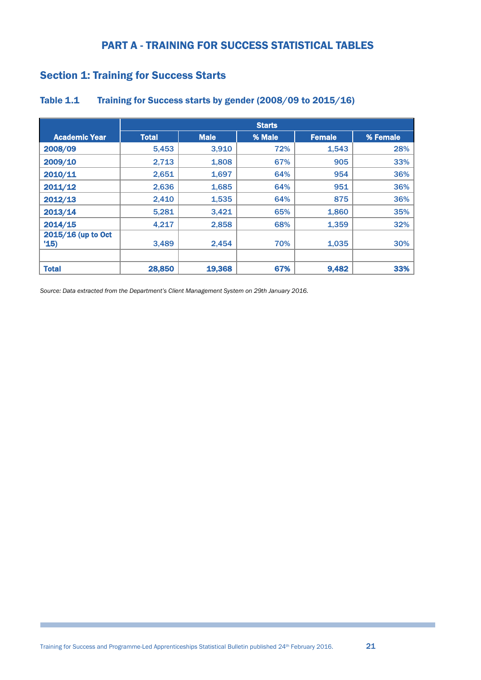# PART A - TRAINING FOR SUCCESS STATISTICAL TABLES

# <span id="page-20-0"></span>Section 1: Training for Success Starts

|                           |              |             | <b>Starts</b> |               |          |
|---------------------------|--------------|-------------|---------------|---------------|----------|
| <b>Academic Year</b>      | <b>Total</b> | <b>Male</b> | % Male        | <b>Female</b> | % Female |
| 2008/09                   | 5.453        | 3.910       | 72%           | 1,543         | 28%      |
| 2009/10                   | 2,713        | 1,808       | 67%           | 905           | 33%      |
| 2010/11                   | 2,651        | 1,697       | 64%           | 954           | 36%      |
| 2011/12                   | 2,636        | 1,685       | 64%           | 951           | 36%      |
| 2012/13                   | 2,410        | 1,535       | 64%           | 875           | 36%      |
| 2013/14                   | 5,281        | 3,421       | 65%           | 1,860         | 35%      |
| 2014/15                   | 4,217        | 2,858       | 68%           | 1,359         | 32%      |
| 2015/16 (up to Oct<br>15) | 3,489        | 2,454       | 70%           | 1,035         | 30%      |
| <b>Total</b>              | 28,850       | 19,368      | 67%           | 9,482         | 33%      |

#### <span id="page-20-1"></span>Table 1.1 Training for Success starts by gender (2008/09 to 2015/16)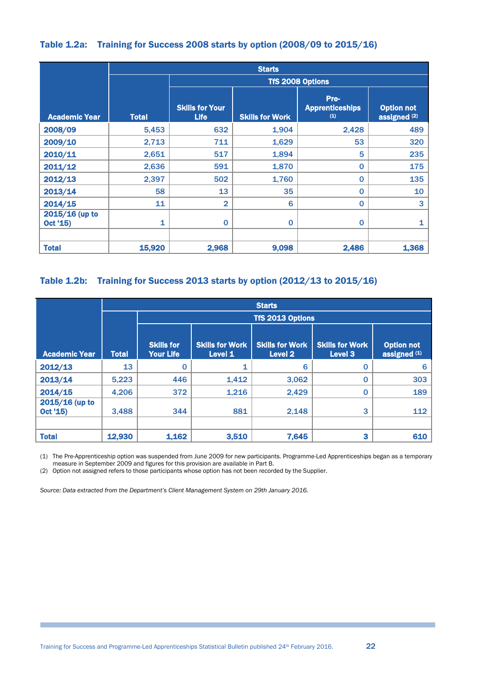#### <span id="page-21-2"></span><span id="page-21-0"></span>Table 1.2a: Training for Success 2008 starts by option (2008/09 to 2015/16)

<span id="page-21-1"></span>

|                            |              | <b>Starts</b>                         |                        |                                       |                                   |  |  |  |  |  |  |  |
|----------------------------|--------------|---------------------------------------|------------------------|---------------------------------------|-----------------------------------|--|--|--|--|--|--|--|
|                            |              |                                       |                        | <b>TfS 2008 Options</b>               |                                   |  |  |  |  |  |  |  |
| <b>Academic Year</b>       | <b>Total</b> | <b>Skills for Your</b><br><b>Life</b> | <b>Skills for Work</b> | Pre-<br><b>Apprenticeships</b><br>(1) | <b>Option not</b><br>assigned (2) |  |  |  |  |  |  |  |
| 2008/09                    | 5,453        | 632                                   | 1,904                  | 2,428                                 | 489                               |  |  |  |  |  |  |  |
| 2009/10                    | 2,713        | 711                                   | 1,629                  | 53                                    | 320                               |  |  |  |  |  |  |  |
| 2010/11                    | 2,651        | 517                                   | 1,894                  | 5                                     | 235                               |  |  |  |  |  |  |  |
| 2011/12                    | 2,636        | 591                                   | 1,870                  | $\mathbf 0$                           | 175                               |  |  |  |  |  |  |  |
| 2012/13                    | 2,397        | 502                                   | 1,760                  | $\mathbf 0$                           | 135                               |  |  |  |  |  |  |  |
| 2013/14                    | 58           | 13                                    | 35                     | $\mathbf 0$                           | 10                                |  |  |  |  |  |  |  |
| 2014/15                    | 11           | $\overline{2}$                        | 6                      | $\mathbf 0$                           | 3                                 |  |  |  |  |  |  |  |
| 2015/16 (up to<br>Oct '15) | 1            | $\mathbf 0$                           | $\mathbf 0$            | $\mathbf 0$                           | 1                                 |  |  |  |  |  |  |  |
| <b>Total</b>               | 15,920       | 2,968                                 | 9,098                  | 2,486                                 | 1,368                             |  |  |  |  |  |  |  |

## Table 1.2b: Training for Success 2013 starts by option (2012/13 to 2015/16)

|                              |                  | <b>Starts</b>                         |                                   |                                              |                                   |                                   |  |  |  |  |  |
|------------------------------|------------------|---------------------------------------|-----------------------------------|----------------------------------------------|-----------------------------------|-----------------------------------|--|--|--|--|--|
|                              | TfS 2013 Options |                                       |                                   |                                              |                                   |                                   |  |  |  |  |  |
|                              |                  |                                       |                                   |                                              |                                   |                                   |  |  |  |  |  |
| <b>Academic Year</b>         | <b>Total</b>     | <b>Skills for</b><br><b>Your Life</b> | <b>Skills for Work</b><br>Level 1 | <b>Skills for Work</b><br>Level <sub>2</sub> | <b>Skills for Work</b><br>Level 3 | <b>Option not</b><br>assigned (1) |  |  |  |  |  |
| 2012/13                      | 13               | 0                                     | 1                                 | 6                                            | 0                                 | 6                                 |  |  |  |  |  |
| 2013/14                      | 5,223            | 446                                   | 1,412                             | 3,062                                        | 0                                 | 303                               |  |  |  |  |  |
| 2014/15                      | 4,206            | 372                                   | 1,216                             | 2,429                                        | 0                                 | 189                               |  |  |  |  |  |
| $2015/16$ (up to<br>Oct '15) | 3,488            | 344                                   | 881                               | 2,148                                        | 3                                 | 112                               |  |  |  |  |  |
| <b>Total</b>                 | 12,930           | 1,162                                 | 3,510                             | 7,645                                        | 3                                 | 610                               |  |  |  |  |  |

(1) The Pre-Apprenticeship option was suspended from June 2009 for new participants. Programme-Led Apprenticeships began as a temporary measure in September 2009 and figures for this provision are available in Part B.

(2) Option not assigned refers to those participants whose option has not been recorded by the Supplier.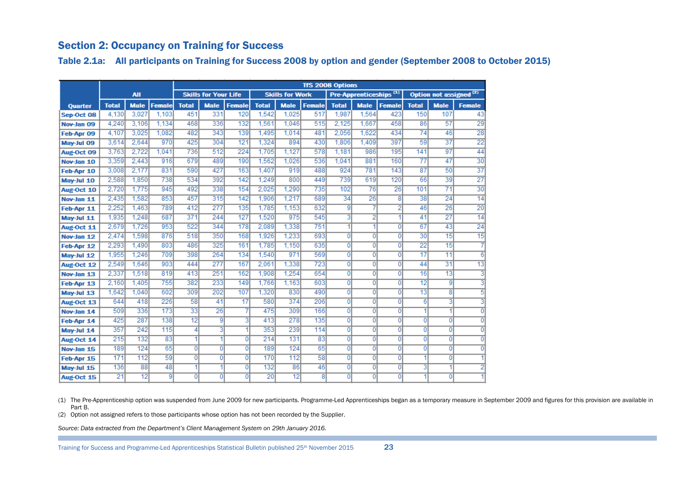# Section 2: Occupancy on Training for Success

Table 2.1a: All participants on Training for Success 2008 by option and gender (September 2008 to October 2015)

|            |              |             |               |                |                             |                |              |                        |                | <b>TfS 2008 Options</b> |                                    |                |                 |                                    |                 |
|------------|--------------|-------------|---------------|----------------|-----------------------------|----------------|--------------|------------------------|----------------|-------------------------|------------------------------------|----------------|-----------------|------------------------------------|-----------------|
|            |              | <b>All</b>  |               |                | <b>Skills for Your Life</b> |                |              | <b>Skills for Work</b> |                |                         | Pre-Apprenticeships <sup>(1)</sup> |                |                 | Option not assigned <sup>(2)</sup> |                 |
| Quarter    | <b>Total</b> | <b>Male</b> | <b>Female</b> | <b>Total</b>   | <b>Male</b>                 | <b>Female</b>  | <b>Total</b> | <b>Male</b>            | <b>Female</b>  | <b>Total</b>            | <b>Male</b>                        | <b>Female</b>  | <b>Total</b>    | <b>Male</b>                        | <b>Female</b>   |
| Sep-Oct 08 | 4.130        | 3.027       | 1.103         | 451            | 331                         | 120            | 1.542        | 1.025                  | 517            | 1.987                   | 1.564                              | 423            | 150             | 107                                | 43              |
| Nov-Jan 09 | 4.240        | 3.106       | 1.134         | 468            | 336                         | 132            | 1,561        | 1.046                  | 515            | 2.125                   | 1.667                              | 458            | 86              | 57                                 | 29              |
| Feb-Apr 09 | 4.107        | 3.025       | 1.082         | 482            | 343                         | 139            | 1.495        | 1.014                  | 481            | 2.056                   | 1.622                              | 434            | $\overline{74}$ | 46                                 | $\overline{28}$ |
| May-Jul 09 | 3.614        | 2.644       | 970           | 425            | 304                         | 121            | 1.324        | 894                    | 430            | 1.806                   | 1,409                              | 397            | 59              | $\overline{37}$                    | $\overline{22}$ |
| Aug-Oct 09 | 3.763        | 2.722       | 1.041         | 736            | 512                         | 224            | 1.705        | 1.127                  | 578            | 1,181                   | 986                                | 195            | 141             | 97                                 | 44              |
| Nov-Jan 10 | 3,359        | 2.443       | 916           | 679            | 489                         | 190            | 1.562        | 1.026                  | 536            | 1.041                   | 881                                | 160            | 77              | 47                                 | $\overline{30}$ |
| Feb-Apr 10 | 3,008        | 2.177       | 831           | 590            | 427                         | 163            | 1.407        | 919                    | 488            | 924                     | 781                                | 143            | 87              | 50                                 | $\overline{37}$ |
| May-Jul 10 | 2.588        | 1.850       | 738           | 534            | 392                         | 142            | 1.249        | 800                    | 449            | 739                     | 619                                | 120            | 66              | 39                                 | $\overline{27}$ |
| Aug-Oct 10 | 2.720        | 1.775       | 945           | 492            | 338                         | 154            | 2.025        | 1.290                  | 735            | 102                     | 76                                 | 26             | 101             | $\overline{71}$                    | $\overline{30}$ |
| Nov-Jan 11 | 2,435        | 1.582       | 853           | 457            | 315                         | 142            | 1.906        | 1,217                  | 689            | 34                      | 26                                 | 8              | 38              | 24                                 | 14              |
| Feb-Apr 11 | 2.252        | 1.463       | 789           | 412            | 277                         | 135            | 1.785        | 1,153                  | 632            | 9                       |                                    | 2              | 46              | 26                                 | $\overline{20}$ |
| May-Jul 11 | 1.935        | 1.248       | 687           | 371            | 244                         | 127            | 1.520        | 975                    | 545            | 3                       | 2                                  |                | 41              | 27                                 | $\overline{14}$ |
| Aug-Oct 11 | 2.679        | 1.726       | 953           | 522            | 344                         | 178            | 2.089        | 1.338                  | 751            | 1                       | 1                                  | $\overline{0}$ | 67              | 43                                 | $\overline{24}$ |
| Nov-Jan 12 | 2.474        | 1.598       | 876           | 518            | 350                         | 168            | 1.926        | 1.233                  | 693            | $\overline{0}$          | $\overline{0}$                     | $\overline{0}$ | 30              | 15                                 | 15              |
| Feb-Apr 12 | 2.293        | 1.490       | 803           | 486            | 325                         | 161            | 1.785        | 1.150                  | 635            | $\overline{0}$          | $\overline{0}$                     | $\overline{0}$ | 22              | 15                                 |                 |
| May-Jul 12 | 1.955        | 1.246       | 709           | 398            | 264                         | 134            | 1.540        | 971                    | 569            | 0                       | $\overline{0}$                     | $\overline{0}$ | $\overline{17}$ | $\overline{11}$                    | 6               |
| Aug-Oct 12 | 2.549        | 1.646       | 903           | 444            | 277                         | 167            | 2.061        | 1.338                  | 723            | $\overline{0}$          | $\overline{0}$                     | $\overline{0}$ | 44              | $\overline{31}$                    | 13              |
| Nov-Jan 13 | 2.337        | 1.518       | 819           | 413            | 251                         | 162            | 1.908        | 1.254                  | 654            | 0                       | 0                                  | $\overline{0}$ | 16              | 13                                 | 3               |
| Feb-Apr 13 | 2.160        | 1.405       | 755           | 382            | 233                         | 149            | 1.766        | 1,163                  | 603            | 0                       | $\overline{0}$                     | $\overline{0}$ | $\overline{12}$ | $\overline{9}$                     |                 |
| May-Jul 13 | 1.642        | 1.040       | 602           | 309            | 202                         | 107            | 1.320        | 830                    | 490            | $\overline{0}$          | $\overline{0}$                     | $\overline{0}$ | $\overline{13}$ | 81                                 | 5               |
| Aug-Oct 13 | 644          | 418         | 226           | 58             | 41                          | 17             | 580          | 374                    | 206            | $\overline{0}$          | $\overline{0}$                     | $\overline{0}$ | 6               | 31                                 | 3               |
| Nov-Jan 14 | 509          | 336         | 173           | 33             | 26                          |                | 475          | 309                    | 166            | $\overline{0}$          | $\overline{0}$                     | $\overline{0}$ | 4               | 1                                  | $\overline{0}$  |
| Feb-Apr 14 | 425          | 287         | 138           | 12             | 9                           | 3              | 413          | 278                    | 135            | $\overline{0}$          | $\overline{0}$                     | $\overline{0}$ | $\overline{0}$  | $\overline{0}$                     | 0               |
| May-Jul 14 | 357          | 242         | 115           | 4              | 3                           |                | 353          | 239                    | 114            | $\overline{0}$          | $\overline{0}$                     | $\overline{0}$ | $\overline{0}$  | $\overline{0}$                     | $\overline{0}$  |
| Aug-Oct 14 | 215          | 132         | 83            | 1              | 1                           | $\overline{0}$ | 214          | 131                    | 83             | $\overline{0}$          | $\overline{0}$                     | $\overline{0}$ | $\overline{0}$  | $\overline{0}$                     | $\Omega$        |
| Nov-Jan 15 | 189          | 124         | 65            | $\overline{0}$ | $\overline{0}$              | $\overline{0}$ | 189          | 124                    | 65             | $\overline{0}$          | $\overline{0}$                     | $\overline{0}$ | $\Omega$        | $\overline{0}$                     |                 |
| Feb-Apr 15 | 171          | 112         | 59            | $\overline{0}$ | $\overline{0}$              | $\overline{0}$ | 170          | 112                    | 58             | $\overline{0}$          | $\overline{0}$                     | $\overline{0}$ |                 | $\overline{0}$                     |                 |
| May-Jul 15 | 136          | 88          | 48            | 1              | 1                           | $\Omega$       | 132          | 86                     | 46             | $\overline{0}$          | 0                                  | $\overline{0}$ | 3               | 1                                  | 2               |
| Aug-Oct 15 | 21           | 12          | g             | $\overline{0}$ | $\Omega$                    | $\Omega$       | 20           | $\overline{12}$        | $\overline{8}$ | 0                       | $\overline{0}$                     | $\overline{0}$ | 1               | $\overline{0}$                     |                 |

<span id="page-22-1"></span><span id="page-22-0"></span>(1) The Pre-Apprenticeship option was suspended from June 2009 for new participants. Programme-Led Apprenticeships began as a temporary measure in September 2009 and figures for this provision are available in Part B.

(2) Option not assigned refers to those participants whose option has not been recorded by the Supplier.

*Source: Data extracted from the Department's Client Management System on 29th January 2016.*

Training for Success and Programme-Led Apprenticeships Statistical Bulletin published 25th November 2015 23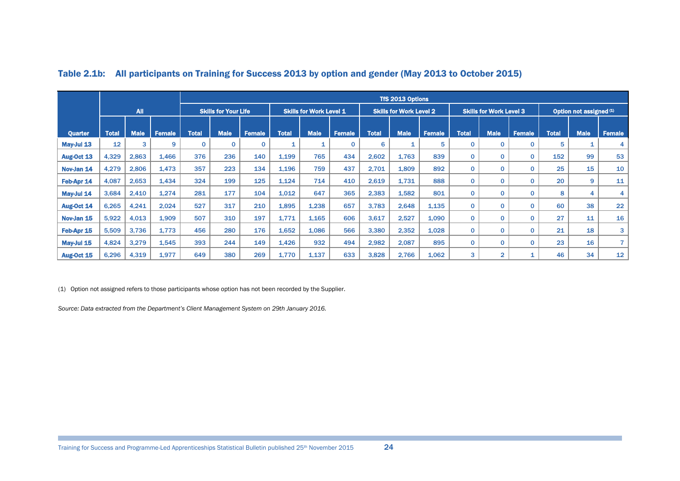|                |              |             |               |              | <b>TfS 2013 Options</b>     |               |              |                                |               |              |                                |               |                                |                |               |              |                         |               |
|----------------|--------------|-------------|---------------|--------------|-----------------------------|---------------|--------------|--------------------------------|---------------|--------------|--------------------------------|---------------|--------------------------------|----------------|---------------|--------------|-------------------------|---------------|
|                |              | <b>All</b>  |               |              | <b>Skills for Your Life</b> |               |              | <b>Skills for Work Level 1</b> |               |              | <b>Skills for Work Level 2</b> |               | <b>Skills for Work Level 3</b> |                |               |              | Option not assigned (1) |               |
|                |              |             |               |              |                             |               |              |                                |               |              |                                |               |                                |                |               |              |                         |               |
| <b>Quarter</b> | <b>Total</b> | <b>Male</b> | <b>Female</b> | <b>Total</b> | <b>Male</b>                 | <b>Female</b> | <b>Total</b> | <b>Male</b>                    | <b>Female</b> | <b>Total</b> | <b>Male</b>                    | <b>Female</b> | <b>Total</b>                   | <b>Male</b>    | <b>Female</b> | <b>Total</b> | <b>Male</b>             | <b>Female</b> |
| May-Jul 13     | 12           | 3           | 9             | $\mathbf{0}$ | $\mathbf{0}$                |               |              |                                | $\mathbf 0$   | 6            | 1                              | 5             | $\mathbf 0$                    | $\mathbf 0$    | $\mathbf 0$   | 5            | 1                       | 4             |
| Aug-Oct 13     | 4,329        | 2,863       | 1,466         | 376          | 236                         | 140           | 1,199        | 765                            | 434           | 2,602        | 1,763                          | 839           | $\mathbf 0$                    | 0              | $\mathbf 0$   | 152          | 99                      | 53            |
| Nov-Jan 14     | 4,279        | 2,806       | 1.473         | 357          | 223                         | 134           | 1,196        | 759                            | 437           | 2,701        | 1,809                          | 892           | $\mathbf 0$                    | $\mathbf 0$    | $\mathbf 0$   | 25           | 15                      | 10            |
| Feb-Apr 14     | 4,087        | 2,653       | 1,434         | 324          | 199                         | 125           | 1,124        | 714                            | 410           | 2,619        | 1,731                          | 888           | $\mathbf 0$                    | 0              | $\mathbf 0$   | 20           | 9                       | 11            |
| May-Jul 14     | 3,684        | 2,410       | 1,274         | 281          | 177                         | 104           | 1,012        | 647                            | 365           | 2,383        | 1,582                          | 801           | $\mathbf 0$                    | 0              | $\mathbf 0$   | 8            | 4                       | 4             |
| Aug-Oct 14     | 6,265        | 4,241       | 2,024         | 527          | 317                         | 210           | 1,895        | 1,238                          | 657           | 3,783        | 2,648                          | 1,135         | $\mathbf 0$                    | $\mathbf{0}$   | $\mathbf{0}$  | 60           | 38                      | 22            |
| Nov-Jan 15     | 5,922        | 4,013       | 1,909         | 507          | 310                         | 197           | 1,771        | 1,165                          | 606           | 3,617        | 2,527                          | 1,090         | $\mathbf 0$                    | $\mathbf 0$    | $\mathbf{0}$  | 27           | 11                      | 16            |
| Feb-Apr 15     | 5,509        | 3,736       | 1.773         | 456          | 280                         | 176           | 1.652        | 1.086                          | 566           | 3,380        | 2,352                          | 1.028         | $\mathbf 0$                    | $\mathbf 0$    | $\mathbf 0$   | 21           | 18                      | 3             |
| May-Jul 15     | 4,824        | 3,279       | 1,545         | 393          | 244                         | 149           | 1,426        | 932                            | 494           | 2,982        | 2,087                          | 895           | $\mathbf 0$                    | 0              | $\mathbf 0$   | 23           | 16                      | 7             |
| Aug-Oct 15     | 6,296        | 4,319       | 1,977         | 649          | 380                         | 269           | 1,770        | 1,137                          | 633           | 3,828        | 2,766                          | 1,062         | 3                              | $\overline{2}$ | 1             | 46           | 34                      | 12            |

#### Table 2.1b: All participants on Training for Success 2013 by option and gender (May 2013 to October 2015)

(1) Option not assigned refers to those participants whose option has not been recorded by the Supplier.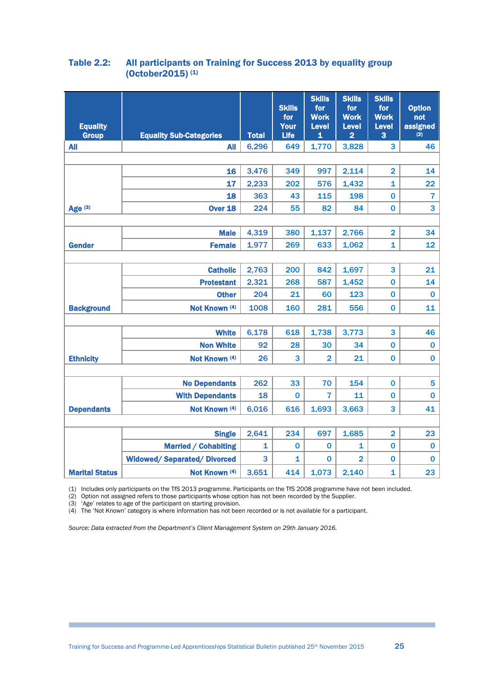#### <span id="page-24-0"></span>Table 2.2: All participants on Training for Success 2013 by equality group (October2015) (1)

| <b>Equality</b><br><b>Group</b> | <b>Equality Sub-Categories</b>    | <b>Total</b> | <b>Skills</b><br>for<br><b>Your</b><br>Life | <b>Skills</b><br>for<br><b>Work</b><br><b>Level</b><br>$\mathbf{1}$ | <b>Skills</b><br>for<br><b>Work</b><br><b>Level</b><br>$\overline{\mathbf{2}}$ | <b>Skills</b><br>for<br><b>Work</b><br>Level<br>3 | <b>Option</b><br>not<br>assigned<br>(2) |
|---------------------------------|-----------------------------------|--------------|---------------------------------------------|---------------------------------------------------------------------|--------------------------------------------------------------------------------|---------------------------------------------------|-----------------------------------------|
| <b>All</b>                      | <b>All</b>                        | 6,296        | 649                                         | 1,770                                                               | 3,828                                                                          | 3                                                 | 46                                      |
|                                 |                                   |              |                                             |                                                                     |                                                                                |                                                   |                                         |
|                                 | 16                                | 3,476        | 349                                         | 997                                                                 | 2,114                                                                          | $\overline{2}$                                    | 14                                      |
|                                 | 17                                | 2,233        | 202                                         | 576                                                                 | 1,432                                                                          | $\mathbf{1}$                                      | 22                                      |
|                                 | 18                                | 363          | 43                                          | 115                                                                 | 198                                                                            | $\mathbf 0$                                       | $\overline{7}$                          |
| Age $(3)$                       | <b>Over 18</b>                    | 224          | 55                                          | 82                                                                  | 84                                                                             | $\mathbf 0$                                       | 3                                       |
|                                 |                                   |              |                                             |                                                                     |                                                                                |                                                   |                                         |
|                                 | <b>Male</b>                       | 4,319        | 380                                         | 1,137                                                               | 2,766                                                                          | $\overline{2}$                                    | 34                                      |
| <b>Gender</b>                   | <b>Female</b>                     | 1,977        | 269                                         | 633                                                                 | 1,062                                                                          | $\overline{\mathbf{1}}$                           | 12                                      |
|                                 |                                   |              |                                             |                                                                     |                                                                                |                                                   |                                         |
|                                 | <b>Catholic</b>                   | 2,763        | 200                                         | 842                                                                 | 1,697                                                                          | 3                                                 | 21                                      |
|                                 | <b>Protestant</b>                 | 2,321        | 268                                         | 587                                                                 | 1,452                                                                          | $\bf{0}$                                          | 14                                      |
|                                 | <b>Other</b>                      | 204          | 21                                          | 60                                                                  | 123                                                                            | 0                                                 | $\bf{0}$                                |
| <b>Background</b>               | Not Known (4)                     | 1008         | 160                                         | 281                                                                 | 556                                                                            | $\bf{0}$                                          | 11                                      |
|                                 |                                   |              |                                             |                                                                     |                                                                                |                                                   |                                         |
|                                 | <b>White</b>                      | 6,178        | 618                                         | 1,738                                                               | 3,773                                                                          | 3                                                 | 46                                      |
|                                 | <b>Non White</b>                  | 92           | 28                                          | 30                                                                  | 34                                                                             | $\mathbf 0$                                       | $\mathbf 0$                             |
| <b>Ethnicity</b>                | Not Known (4)                     | 26           | 3                                           | $\overline{2}$                                                      | 21                                                                             | $\mathbf 0$                                       | $\mathbf 0$                             |
|                                 |                                   |              |                                             |                                                                     |                                                                                |                                                   |                                         |
|                                 | <b>No Dependants</b>              | 262          | 33                                          | 70                                                                  | 154                                                                            | $\bf{0}$                                          | 5                                       |
|                                 | <b>With Dependants</b>            | 18           | 0                                           | $\overline{7}$                                                      | 11                                                                             | $\bf{0}$                                          | $\mathbf 0$                             |
| <b>Dependants</b>               | Not Known (4)                     | 6,016        | 616                                         | 1,693                                                               | 3,663                                                                          | 3                                                 | 41                                      |
|                                 |                                   |              |                                             |                                                                     |                                                                                |                                                   |                                         |
|                                 | <b>Single</b>                     | 2,641        | 234                                         | 697                                                                 | 1,685                                                                          | $\overline{2}$                                    | 23                                      |
|                                 | <b>Married / Cohabiting</b>       | 1            | 0                                           | $\bf{0}$                                                            | $\mathbf{1}$                                                                   | $\mathbf 0$                                       | $\mathbf 0$                             |
|                                 | <b>Widowed/Separated/Divorced</b> | 3            | 1                                           | 0                                                                   | $\overline{2}$                                                                 | $\bf{0}$                                          | $\mathbf 0$                             |
| <b>Marital Status</b>           | Not Known (4)                     | 3,651        | 414                                         | 1,073                                                               | 2,140                                                                          | $\mathbf{1}$                                      | 23                                      |

(1) Includes only participants on the TfS 2013 programme. Participants on the TfS 2008 programme have not been included.

(2) Option not assigned refers to those participants whose option has not been recorded by the Supplier.

(3) 'Age' relates to age of the participant on starting provision.

(4) The 'Not Known' category is where information has not been recorded or is not available for a participant.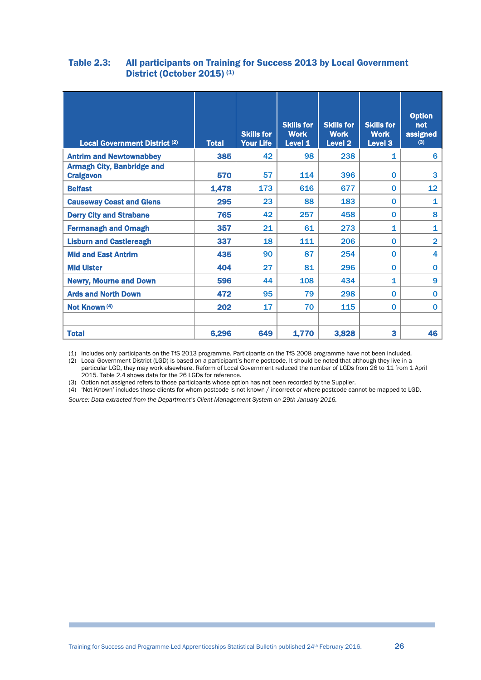#### <span id="page-25-0"></span>Table 2.3: All participants on Training for Success 2013 by Local Government District (October 2015)<sup>(1)</sup>

| <b>Local Government District (2)</b>                  | <b>Total</b> | <b>Skills for</b><br><b>Your Life</b> | <b>Skills for</b><br><b>Work</b><br>Level 1 | <b>Skills for</b><br><b>Work</b><br><b>Level 2</b> | <b>Skills for</b><br><b>Work</b><br>Level 3 | <b>Option</b><br>not<br>assigned<br>(3) |
|-------------------------------------------------------|--------------|---------------------------------------|---------------------------------------------|----------------------------------------------------|---------------------------------------------|-----------------------------------------|
| <b>Antrim and Newtownabbey</b>                        | 385          | 42                                    | 98                                          | 238                                                | 1                                           | 6                                       |
| <b>Armagh City, Banbridge and</b><br><b>Craigavon</b> | 570          | 57                                    | 114                                         | 396                                                | $\Omega$                                    | 3                                       |
| <b>Belfast</b>                                        | 1,478        | 173                                   | 616                                         | 677                                                | $\Omega$                                    | 12 <sub>2</sub>                         |
| <b>Causeway Coast and Glens</b>                       | 295          | 23                                    | 88                                          | 183                                                | $\Omega$                                    | 1                                       |
| <b>Derry City and Strabane</b>                        | 765          | 42                                    | 257                                         | 458                                                | $\Omega$                                    | 8                                       |
| <b>Fermanagh and Omagh</b>                            | 357          | 21                                    | 61                                          | 273                                                | 1                                           | 1                                       |
| <b>Lisburn and Castlereagh</b>                        | 337          | 18                                    | 111                                         | 206                                                | $\Omega$                                    | $\overline{2}$                          |
| <b>Mid and East Antrim</b>                            | 435          | 90                                    | 87                                          | 254                                                | $\Omega$                                    | 4                                       |
| <b>Mid Ulster</b>                                     | 404          | 27                                    | 81                                          | 296                                                | $\Omega$                                    | $\mathbf{0}$                            |
| <b>Newry, Mourne and Down</b>                         | 596          | 44                                    | 108                                         | 434                                                | 1                                           | 9                                       |
| <b>Ards and North Down</b>                            | 472          | 95                                    | 79                                          | 298                                                | $\Omega$                                    | $\mathbf 0$                             |
| Not Known (4)                                         | 202          | 17                                    | 70                                          | 115                                                | $\mathbf{0}$                                | $\mathbf{0}$                            |
|                                                       |              |                                       |                                             |                                                    |                                             |                                         |
| <b>Total</b>                                          | 6,296        | 649                                   | 1,770                                       | 3,828                                              | 3                                           | 46                                      |

(1) Includes only participants on the TfS 2013 programme. Participants on the TfS 2008 programme have not been included.

 $(2)$  Local Government District (LGD) is based on a participant's home postcode. It should be noted that although they live in a particular LGD, they may work elsewhere. Reform of Local Government reduced the number of LGDs from 26 to 11 from 1 April 2015. Table 2.4 shows data for the 26 LGDs for reference.

(3) Option not assigned refers to those participants whose option has not been recorded by the Supplier.

(4) 'Not Known' includes those clients for whom postcode is not known / incorrect or where postcode cannot be mapped to LGD.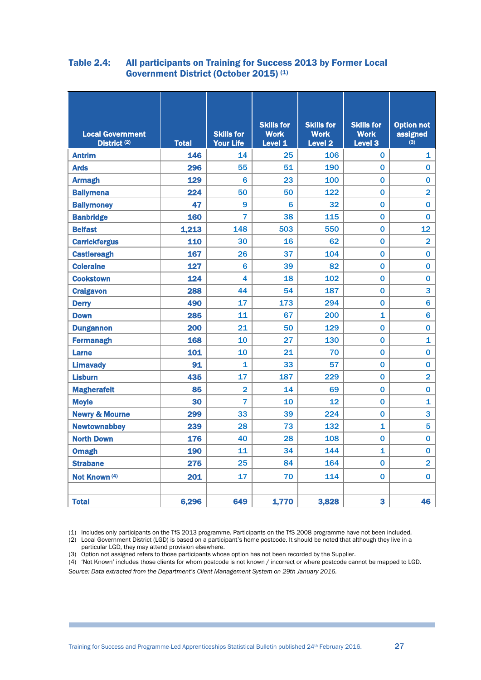#### Table 2.4: All participants on Training for Success 2013 by Former Local Government District (October 2015) (1)

| <b>Local Government</b><br>District <sup>(2)</sup> | <b>Total</b> | <b>Skills for</b><br><b>Your Life</b> | <b>Skills for</b><br><b>Work</b><br>Level <sub>1</sub> | <b>Skills for</b><br><b>Work</b><br><b>Level 2</b> | <b>Skills for</b><br><b>Work</b><br><b>Level 3</b> | <b>Option not</b><br>assigned<br>(3) |
|----------------------------------------------------|--------------|---------------------------------------|--------------------------------------------------------|----------------------------------------------------|----------------------------------------------------|--------------------------------------|
| <b>Antrim</b>                                      | 146          | 14                                    | 25                                                     | 106                                                | 0                                                  | 1                                    |
| <b>Ards</b>                                        | 296          | 55                                    | 51                                                     | 190                                                | 0                                                  | 0                                    |
| <b>Armagh</b>                                      | 129          | $6\overline{6}$                       | 23                                                     | 100                                                | $\overline{0}$                                     | 0                                    |
| <b>Ballymena</b>                                   | 224          | 50                                    | 50                                                     | 122                                                | 0                                                  | $\overline{\mathbf{2}}$              |
| <b>Ballymoney</b>                                  | 47           | 9                                     | 6                                                      | 32                                                 | $\Omega$                                           | 0                                    |
| <b>Banbridge</b>                                   | 160          | 7                                     | 38                                                     | 115                                                | 0                                                  | 0                                    |
| <b>Belfast</b>                                     | 1,213        | 148                                   | 503                                                    | 550                                                | 0                                                  | 12                                   |
| <b>Carrickfergus</b>                               | 110          | 30                                    | 16                                                     | 62                                                 | 0                                                  | $\overline{2}$                       |
| <b>Castlereagh</b>                                 | 167          | 26                                    | 37                                                     | 104                                                | 0                                                  | $\overline{0}$                       |
| <b>Coleraine</b>                                   | 127          | 6                                     | 39                                                     | 82                                                 | $\Omega$                                           | 0                                    |
| <b>Cookstown</b>                                   | 124          | 4                                     | 18                                                     | 102                                                | 0                                                  | 0                                    |
| <b>Craigavon</b>                                   | 288          | 44                                    | 54                                                     | 187                                                | 0                                                  | 3                                    |
| <b>Derry</b>                                       | 490          | 17                                    | 173                                                    | 294                                                | $\overline{0}$                                     | $6\phantom{1}6$                      |
| <b>Down</b>                                        | 285          | 11                                    | 67                                                     | 200                                                | $\mathbf{1}$                                       | $6\phantom{a}$                       |
| <b>Dungannon</b>                                   | 200          | 21                                    | 50                                                     | 129                                                | 0                                                  | 0                                    |
| <b>Fermanagh</b>                                   | 168          | 10                                    | 27                                                     | 130                                                | 0                                                  | $\mathbf{1}$                         |
| <b>Larne</b>                                       | 101          | 10                                    | 21                                                     | 70                                                 | 0                                                  | 0                                    |
| <b>Limavady</b>                                    | 91           | 1                                     | 33                                                     | 57                                                 | 0                                                  | 0                                    |
| <b>Lisburn</b>                                     | 435          | 17                                    | 187                                                    | 229                                                | 0                                                  | $\overline{2}$                       |
| <b>Magherafelt</b>                                 | 85           | $\overline{2}$                        | 14                                                     | 69                                                 | 0                                                  | 0                                    |
| <b>Moyle</b>                                       | 30           | 7                                     | 10                                                     | 12                                                 | 0                                                  | 1                                    |
| <b>Newry &amp; Mourne</b>                          | 299          | 33                                    | 39                                                     | 224                                                | 0                                                  | 3                                    |
| <b>Newtownabbey</b>                                | 239          | 28                                    | 73                                                     | 132                                                | 1                                                  | 5                                    |
| <b>North Down</b>                                  | 176          | 40                                    | 28                                                     | 108                                                | 0                                                  | $\overline{0}$                       |
| <b>Omagh</b>                                       | 190          | 11                                    | 34                                                     | 144                                                | $\overline{\mathbf{1}}$                            | $\overline{0}$                       |
| <b>Strabane</b>                                    | 275          | 25                                    | 84                                                     | 164                                                | $\Omega$                                           | $\overline{2}$                       |
| Not Known (4)                                      | 201          | 17                                    | 70                                                     | 114                                                | 0                                                  | $\bf{0}$                             |
|                                                    |              |                                       |                                                        |                                                    | 3                                                  |                                      |
| <b>Total</b>                                       | 6,296        | 649                                   | 1,770                                                  | 3,828                                              |                                                    | 46                                   |

(1) Includes only participants on the TfS 2013 programme. Participants on the TfS 2008 programme have not been included.

(2) Local Government District (LGD) is based on a participant's home postcode. It should be noted that although they live in a particular LGD, they may attend provision elsewhere.

(3) Option not assigned refers to those participants whose option has not been recorded by the Supplier.

(4) 'Not Known' includes those clients for whom postcode is not known / incorrect or where postcode cannot be mapped to LGD. *Source: Data extracted from the Department's Client Management System on 29th January 2016.*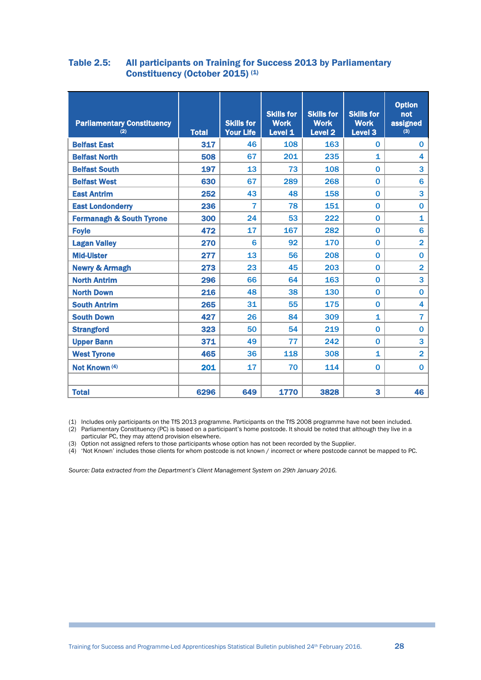#### <span id="page-27-0"></span>Table 2.5: All participants on Training for Success 2013 by Parliamentary Constituency (October 2015) (1)

| <b>Parliamentary Constituency</b><br>(2) | <b>Total</b> | <b>Skills for</b><br><b>Your Life</b> | <b>Skills for</b><br><b>Work</b><br>Level 1 | <b>Skills for</b><br><b>Work</b><br><b>Level 2</b> | <b>Skills for</b><br><b>Work</b><br>Level <sub>3</sub> | <b>Option</b><br>not<br>assigned<br>(3) |
|------------------------------------------|--------------|---------------------------------------|---------------------------------------------|----------------------------------------------------|--------------------------------------------------------|-----------------------------------------|
| <b>Belfast East</b>                      | 317          | 46                                    | 108                                         | 163                                                | 0                                                      | 0                                       |
| <b>Belfast North</b>                     | 508          | 67                                    | 201                                         | 235                                                | $\mathbf{1}$                                           | 4                                       |
| <b>Belfast South</b>                     | 197          | 13                                    | 73                                          | 108                                                | $\bf{0}$                                               | 3                                       |
| <b>Belfast West</b>                      | 630          | 67                                    | 289                                         | 268                                                | $\bf{0}$                                               | 6                                       |
| <b>East Antrim</b>                       | 252          | 43                                    | 48                                          | 158                                                | $\mathbf 0$                                            | 3                                       |
| <b>East Londonderry</b>                  | 236          | 7                                     | 78                                          | 151                                                | $\mathbf 0$                                            | 0                                       |
| <b>Fermanagh &amp; South Tyrone</b>      | 300          | 24                                    | 53                                          | 222                                                | 0                                                      | 1                                       |
| <b>Foyle</b>                             | 472          | 17                                    | 167                                         | 282                                                | $\mathbf 0$                                            | 6                                       |
| <b>Lagan Valley</b>                      | 270          | 6                                     | 92                                          | 170                                                | $\mathbf 0$                                            | $\overline{2}$                          |
| <b>Mid-Ulster</b>                        | 277          | 13                                    | 56                                          | 208                                                | $\mathbf 0$                                            | 0                                       |
| <b>Newry &amp; Armagh</b>                | 273          | 23                                    | 45                                          | 203                                                | $\bf{0}$                                               | $\overline{2}$                          |
| <b>North Antrim</b>                      | 296          | 66                                    | 64                                          | 163                                                | $\mathbf 0$                                            | 3                                       |
| <b>North Down</b>                        | 216          | 48                                    | 38                                          | 130                                                | $\mathbf 0$                                            | 0                                       |
| <b>South Antrim</b>                      | 265          | 31                                    | 55                                          | 175                                                | $\mathbf 0$                                            | 4                                       |
| <b>South Down</b>                        | 427          | 26                                    | 84                                          | 309                                                | $\mathbf{1}$                                           | $\overline{7}$                          |
| <b>Strangford</b>                        | 323          | 50                                    | 54                                          | 219                                                | 0                                                      | 0                                       |
| <b>Upper Bann</b>                        | 371          | 49                                    | 77                                          | 242                                                | $\mathbf{0}$                                           | 3                                       |
| <b>West Tyrone</b>                       | 465          | 36                                    | 118                                         | 308                                                | $\mathbf{1}$                                           | $\overline{2}$                          |
| Not Known (4)                            | 201          | 17                                    | 70                                          | 114                                                | $\mathbf{0}$                                           | 0                                       |
|                                          |              |                                       |                                             |                                                    |                                                        |                                         |
| <b>Total</b>                             | 6296         | 649                                   | 1770                                        | 3828                                               | 3                                                      | 46                                      |

(1) Includes only participants on the TfS 2013 programme. Participants on the TfS 2008 programme have not been included.

(2) Parliamentary Constituency (PC) is based on a participant's home postcode. It should be noted that although they live in a particular PC, they may attend provision elsewhere.

(3) Option not assigned refers to those participants whose option has not been recorded by the Supplier.

(4) 'Not Known' includes those clients for whom postcode is not known / incorrect or where postcode cannot be mapped to PC.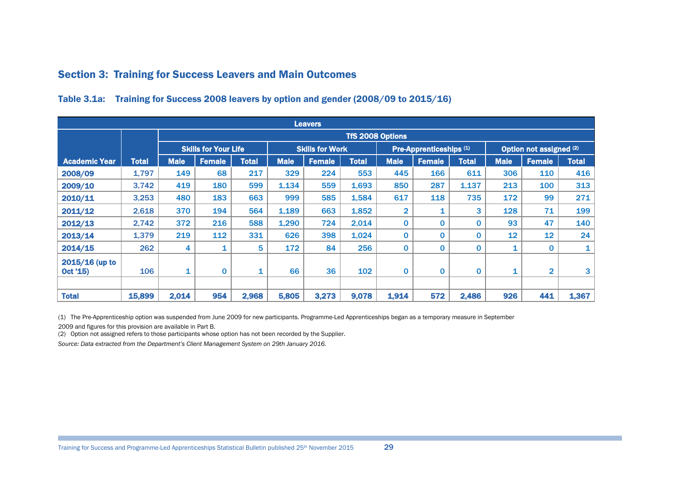## Section 3: Training for Success Leavers and Main Outcomes

|                            | <b>Leavers</b> |             |                             |              |             |                        |                         |                |                         |              |             |                         |              |  |
|----------------------------|----------------|-------------|-----------------------------|--------------|-------------|------------------------|-------------------------|----------------|-------------------------|--------------|-------------|-------------------------|--------------|--|
|                            |                |             |                             |              |             |                        | <b>TfS 2008 Options</b> |                |                         |              |             |                         |              |  |
|                            |                |             | <b>Skills for Your Life</b> |              |             | <b>Skills for Work</b> |                         |                | Pre-Apprenticeships (1) |              |             | Option not assigned (2) |              |  |
| <b>Academic Year</b>       | <b>Total</b>   | <b>Male</b> | <b>Female</b>               | <b>Total</b> | <b>Male</b> | <b>Female</b>          | <b>Total</b>            | <b>Male</b>    | <b>Female</b>           | <b>Total</b> | <b>Male</b> | <b>Female</b>           | <b>Total</b> |  |
| 2008/09                    | 1,797          | 149         | 68                          | 217          | 329         | 224                    | 553                     | 445            | 166                     | 611          | 306         | 110                     | 416          |  |
| 2009/10                    | 3,742          | 419         | 180                         | 599          | 1,134       | 559                    | 1,693                   | 850            | 287                     | 1,137        | 213         | 100                     | 313          |  |
| 2010/11                    | 3,253          | 480         | 183                         | 663          | 999         | 585                    | 1,584                   | 617            | 118                     | 735          | 172         | 99                      | 271          |  |
| 2011/12                    | 2,618          | 370         | 194                         | 564          | 1,189       | 663                    | 1,852                   | $\overline{2}$ | 1                       | 3            | 128         | 71                      | 199          |  |
| 2012/13                    | 2,742          | 372         | 216                         | 588          | 1,290       | 724                    | 2,014                   | 0              | 0                       | 0            | 93          | 47                      | 140          |  |
| 2013/14                    | 1,379          | 219         | 112                         | 331          | 626         | 398                    | 1,024                   | $\bf{0}$       | $\Omega$                | 0            | 12          | 12                      | 24           |  |
| 2014/15                    | 262            | 4           | 1                           | 5            | 172         | 84                     | 256                     | $\mathbf 0$    | $\bf{0}$                | 0            | 1           | $\Omega$                | 1            |  |
| 2015/16 (up to<br>Oct '15) | 106            | 1           | $\bf{0}$                    | 1            | 66          | 36                     | 102                     | 0              | $\bf{0}$                | 0            | 1           | $\overline{2}$          | 3            |  |
| <b>Total</b>               | 15,899         | 2,014       | 954                         | 2,968        | 5,805       | 3,273                  | 9,078                   | 1,914          | 572                     | 2,486        | 926         | 441                     | 1,367        |  |

#### Table 3.1a: Training for Success 2008 leavers by option and gender (2008/09 to 2015/16)

(1) The Pre-Apprenticeship option was suspended from June 2009 for new participants. Programme-Led Apprenticeships began as a temporary measure in September

2009 and figures for this provision are available in Part B.

(2) Option not assigned refers to those participants whose option has not been recorded by the Supplier.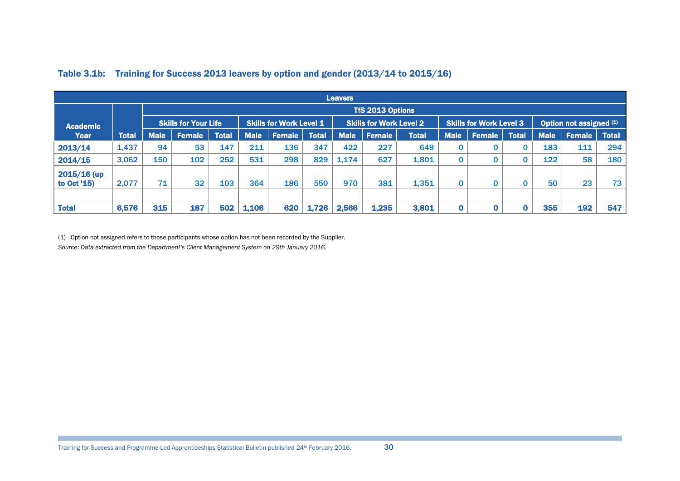|                              |              |             |                             |              |             |                                |              | <b>Leavers</b> |                                |       |             |                                |              |             |                         |              |
|------------------------------|--------------|-------------|-----------------------------|--------------|-------------|--------------------------------|--------------|----------------|--------------------------------|-------|-------------|--------------------------------|--------------|-------------|-------------------------|--------------|
|                              |              |             |                             |              |             |                                |              |                | TfS 2013 Options               |       |             |                                |              |             |                         |              |
| <b>Academic</b>              |              |             | <b>Skills for Your Life</b> |              |             | <b>Skills for Work Level 1</b> |              |                | <b>Skills for Work Level 2</b> |       |             | <b>Skills for Work Level 3</b> |              |             | Option not assigned (1) |              |
| Year                         | <b>Total</b> | <b>Male</b> | <b>Female</b>               | <b>Total</b> | <b>Male</b> | <b>Female</b>                  | <b>Total</b> | <b>Male</b>    | <b>Female</b>                  | Total | <b>Male</b> | <b>Female</b>                  | <b>Total</b> | <b>Male</b> | <b>Female</b>           | <b>Total</b> |
| 2013/14                      | 1,437        | 94          | 53                          | 147          | 211         | 136                            | 347          | 422            | 227                            | 649   |             |                                |              | 183         | 111                     | 294          |
| 2014/15                      | 3,062        | 150         | 102                         | 252          | 531         | 298                            | 829          | 1,174          | 627                            | 1,801 |             |                                |              | 122         | 58                      | 180          |
| $2015/16$ (up<br>to Oct '15) | 2,077        | 71          | 32                          | 103          | 364         | 186                            | 550          | 970            | 381                            | 1,351 |             |                                |              | 50          | 23                      | 73           |
|                              |              |             |                             |              |             |                                |              |                |                                |       |             |                                |              |             |                         |              |
| <b>Total</b>                 | 6,576        | 315         | 187                         | 502          | 1,106       | 620                            | 1,726        | 2,566          | 1,235                          | 3,801 |             |                                |              | 355         | 192                     | 547          |

#### Table 3.1b: Training for Success 2013 leavers by option and gender (2013/14 to 2015/16)

(1) Option not assigned refers to those participants whose option has not been recorded by the Supplier. *Source: Data extracted from the Department's Client Management System on 29th January 2016.*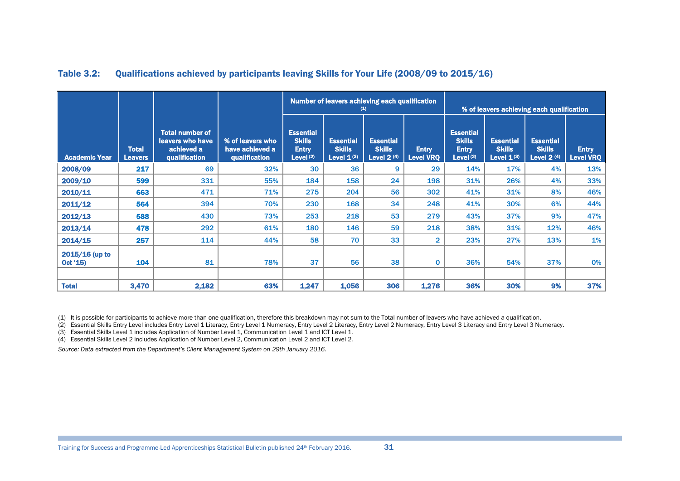|                              |                                |                                                                           |                                                      |                                                                  | Number of leavers achieving each qualification       | $\left( 1\right)$                                 |                                  |                                                                           | % of leavers achieving each qualification            |                                                   |                                  |
|------------------------------|--------------------------------|---------------------------------------------------------------------------|------------------------------------------------------|------------------------------------------------------------------|------------------------------------------------------|---------------------------------------------------|----------------------------------|---------------------------------------------------------------------------|------------------------------------------------------|---------------------------------------------------|----------------------------------|
| <b>Academic Year</b>         | <b>Total</b><br><b>Leavers</b> | <b>Total number of</b><br>leavers who have<br>achieved a<br>qualification | % of leavers who<br>have achieved a<br>qualification | <b>Essential</b><br><b>Skills</b><br><b>Entry</b><br>Level $(2)$ | <b>Essential</b><br><b>Skills</b><br>Level $1^{(3)}$ | <b>Essential</b><br><b>Skills</b><br>Level $2(4)$ | <b>Entry</b><br><b>Level VRQ</b> | <b>Essential</b><br><b>Skills</b><br><b>Entry</b><br>Level <sup>(2)</sup> | <b>Essential</b><br><b>Skills</b><br>Level $1^{(3)}$ | <b>Essential</b><br><b>Skills</b><br>Level $2(4)$ | <b>Entry</b><br><b>Level VRQ</b> |
| 2008/09                      | 217                            | 69                                                                        | 32%                                                  | 30                                                               | 36                                                   | 9                                                 | 29                               | 14%                                                                       | 17%                                                  | 4%                                                | 13%                              |
| 2009/10                      | 599                            | 331                                                                       | 55%                                                  | 184                                                              | 158                                                  | 24                                                | 198                              | 31%                                                                       | 26%                                                  | 4%                                                | 33%                              |
| 2010/11                      | 663                            | 471                                                                       | 71%                                                  | 275                                                              | 204                                                  | 56                                                | 302                              | 41%                                                                       | 31%                                                  | 8%                                                | 46%                              |
| 2011/12                      | 564                            | 394                                                                       | 70%                                                  | 230                                                              | 168                                                  | 34                                                | 248                              | 41%                                                                       | 30%                                                  | 6%                                                | 44%                              |
| 2012/13                      | 588                            | 430                                                                       | 73%                                                  | 253                                                              | 218                                                  | 53                                                | 279                              | 43%                                                                       | 37%                                                  | 9%                                                | 47%                              |
| 2013/14                      | 478                            | 292                                                                       | 61%                                                  | 180                                                              | 146                                                  | 59                                                | 218                              | 38%                                                                       | 31%                                                  | 12%                                               | 46%                              |
| 2014/15                      | 257                            | 114                                                                       | 44%                                                  | 58                                                               | 70                                                   | 33                                                | $\overline{2}$                   | 23%                                                                       | 27%                                                  | 13%                                               | 1%                               |
| $2015/16$ (up to<br>Oct '15) | 104                            | 81                                                                        | 78%                                                  | 37                                                               | 56                                                   | 38                                                | $\mathbf{0}$                     | 36%                                                                       | 54%                                                  | 37%                                               | 0%                               |
| <b>Total</b>                 | 3,470                          | 2,182                                                                     | 63%                                                  | 1,247                                                            | 1,056                                                | 306                                               | 1,276                            | 36%                                                                       | 30%                                                  | 9%                                                | 37%                              |

#### Table 3.2: Qualifications achieved by participants leaving Skills for Your Life (2008/09 to 2015/16)

(1) It is possible for participants to achieve more than one qualification, therefore this breakdown may not sum to the Total number of leavers who have achieved a qualification.

(2) Essential Skills Entry Level includes Entry Level 1 Literacy, Entry Level 1 Numeracy, Entry Level 2 Numeracy, Entry Level 3 Literacy and Entry Level 3 Numeracy.

(3) Essential Skills Level 1 includes Application of Number Level 1, Communication Level 1 and ICT Level 1.

<span id="page-30-0"></span>(4) Essential Skills Level 2 includes Application of Number Level 2, Communication Level 2 and ICT Level 2.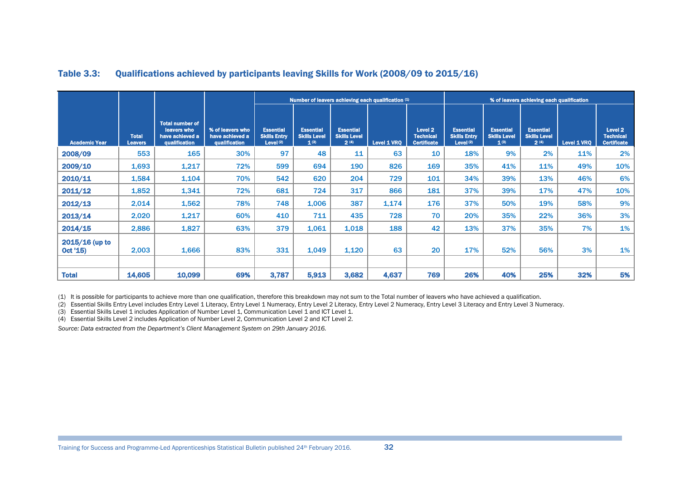|                              |                                |                                                                           |                                                      |                                                        |                                                      |                                                 | Number of leavers achieving each qualification (4) |                                                              |                                                        |                                                      | % of leavers achieving each qualification       |             |                                                              |
|------------------------------|--------------------------------|---------------------------------------------------------------------------|------------------------------------------------------|--------------------------------------------------------|------------------------------------------------------|-------------------------------------------------|----------------------------------------------------|--------------------------------------------------------------|--------------------------------------------------------|------------------------------------------------------|-------------------------------------------------|-------------|--------------------------------------------------------------|
| <b>Academic Year</b>         | <b>Total</b><br><b>Leavers</b> | <b>Total number of</b><br>leavers who<br>have achieved a<br>qualification | % of leavers who<br>have achieved a<br>qualification | <b>Essential</b><br><b>Skills Entry</b><br>Level $(2)$ | <b>Essential</b><br><b>Skills Level</b><br>$1^{(3)}$ | <b>Essential</b><br><b>Skills Level</b><br>2(4) | Level 1 VRQ                                        | Level <sub>2</sub><br><b>Technical</b><br><b>Certificate</b> | <b>Essential</b><br><b>Skills Entry</b><br>Level $(2)$ | <b>Essential</b><br><b>Skills Level</b><br>$1^{(3)}$ | <b>Essential</b><br><b>Skills Level</b><br>2(4) | Level 1 VRQ | Level <sub>2</sub><br><b>Technical</b><br><b>Certificate</b> |
| 2008/09                      | 553                            | 165                                                                       | 30%                                                  | 97                                                     | 48                                                   | 11                                              | 63                                                 | 10                                                           | 18%                                                    | 9%                                                   | 2%                                              | 11%         | 2%                                                           |
| 2009/10                      | 1,693                          | 1,217                                                                     | 72%                                                  | 599                                                    | 694                                                  | 190                                             | 826                                                | 169                                                          | 35%                                                    | 41%                                                  | 11%                                             | 49%         | 10%                                                          |
| 2010/11                      | 1,584                          | 1,104                                                                     | 70%                                                  | 542                                                    | 620                                                  | 204                                             | 729                                                | 101                                                          | 34%                                                    | 39%                                                  | 13%                                             | 46%         | 6%                                                           |
| 2011/12                      | 1,852                          | 1,341                                                                     | 72%                                                  | 681                                                    | 724                                                  | 317                                             | 866                                                | 181                                                          | 37%                                                    | 39%                                                  | 17%                                             | 47%         | 10%                                                          |
| 2012/13                      | 2,014                          | 1,562                                                                     | 78%                                                  | 748                                                    | 1,006                                                | 387                                             | 1,174                                              | 176                                                          | 37%                                                    | 50%                                                  | 19%                                             | 58%         | 9%                                                           |
| 2013/14                      | 2,020                          | 1,217                                                                     | 60%                                                  | 410                                                    | 711                                                  | 435                                             | 728                                                | 70                                                           | 20%                                                    | 35%                                                  | 22%                                             | 36%         | 3%                                                           |
| 2014/15                      | 2,886                          | 1,827                                                                     | 63%                                                  | 379                                                    | 1,061                                                | 1,018                                           | 188                                                | 42                                                           | 13%                                                    | 37%                                                  | 35%                                             | 7%          | 1%                                                           |
| $2015/16$ (up to<br>Oct '15) | 2,003                          | 1,666                                                                     | 83%                                                  | 331                                                    | 1,049                                                | 1,120                                           | 63                                                 | 20                                                           | 17%                                                    | 52%                                                  | 56%                                             | 3%          | 1%                                                           |
| <b>Total</b>                 | 14,605                         | 10,099                                                                    | 69%                                                  | 3,787                                                  | 5,913                                                | 3,682                                           | 4,637                                              | 769                                                          | 26%                                                    | 40%                                                  | 25%                                             | 32%         | 5%                                                           |

#### Table 3.3: Qualifications achieved by participants leaving Skills for Work (2008/09 to 2015/16)

(1) It is possible for participants to achieve more than one qualification, therefore this breakdown may not sum to the Total number of leavers who have achieved a qualification.

(2) Essential Skills Entry Level includes Entry Level 1 Literacy, Entry Level 1 Numeracy, Entry Level 2 Literacy, Entry Level 2 Numeracy, Entry Level 3 Literacy and Entry Level 3 Numeracy. Entry Level 3 Literacy and Entry

(3) Essential Skills Level 1 includes Application of Number Level 1, Communication Level 1 and ICT Level 1.

(4) Essential Skills Level 2 includes Application of Number Level 2, Communication Level 2 and ICT Level 2.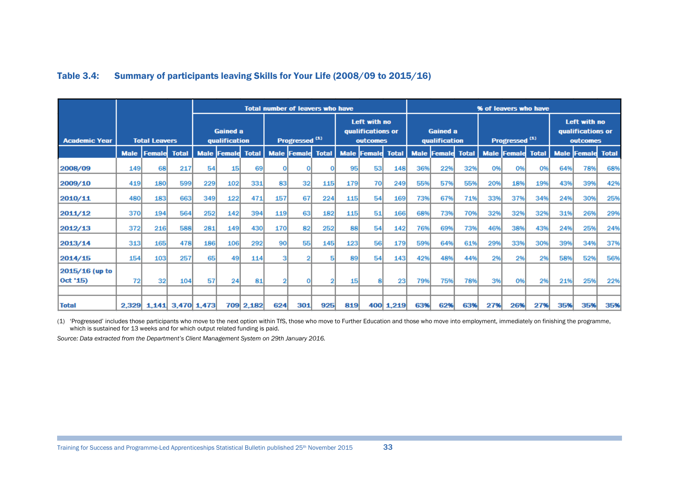|                      |             |                         |              |             |                                  |              |             | <b>Total number of leavers who have</b> |              |             |                                               |              |             |                                  |              |             | % of leavers who have     |              |             |                                               |              |
|----------------------|-------------|-------------------------|--------------|-------------|----------------------------------|--------------|-------------|-----------------------------------------|--------------|-------------|-----------------------------------------------|--------------|-------------|----------------------------------|--------------|-------------|---------------------------|--------------|-------------|-----------------------------------------------|--------------|
| <b>Academic Year</b> |             | <b>Total Leavers</b>    |              |             | <b>Gained a</b><br>qualification |              |             | Progressed <sup>(1)</sup>               |              |             | Left with no<br>qualifications or<br>outcomes |              |             | <b>Gained a</b><br>qualification |              |             | Progressed <sup>(1)</sup> |              |             | Left with no<br>qualifications or<br>outcomes |              |
|                      | <b>Male</b> | Female                  | <b>Total</b> | <b>Male</b> | <b>Femald</b>                    | <b>Total</b> | <b>Male</b> | <b>Femald</b>                           | <b>Total</b> | <b>Male</b> | <b>Femald</b>                                 | <b>Total</b> | <b>Male</b> | Female                           | <b>Total</b> | <b>Male</b> | Female                    | <b>Total</b> | <b>Male</b> | <b>Female</b>                                 | <b>Total</b> |
| 2008/09              | <b>149</b>  | <b>68</b>               | 217          | 54          | 15 <sup>1</sup>                  | 69           |             |                                         |              | 95          | 53                                            | 148          | 36%         | 22%                              | 32%          | 0%          | O <sub>96</sub>           | 0%           | 64%         | 78%                                           | 68%          |
| 2009/10              | 419         | <b>180</b>              | 599          | 229         | 102                              | 331          | 83          | 32                                      | 115          | 179         | 70                                            | 249          | 55%         | 57%                              | 55%          | 20%         | 18%                       | 19%          | 43%         | 39%                                           | 42%          |
| 2010/11              | 480         | 183                     | 663          | 349         | 122                              | 471          | 157         | 67                                      | 224          | 115         | 54                                            | 169          | 73%         | 67%                              | 71%          | 33%         | 37%                       | 34%          | 24%         | 30%                                           | 25%          |
| 2011/12              | 370         | 194                     | 564          | 252         | 142                              | 394          | 119         | 63                                      | 182          | 115         | 51                                            | 166          | 68%         | 73%                              | 70%          | 32%         | 32%                       | 32%          | 31%         | 26%                                           | 29%          |
| 2012/13              | 372         | 216                     | 588          | 281         | 149                              | 430          | 170         | 82                                      | 252          | 88          | 54                                            | 142          | 76%         | 69%                              | 73%          | 46%         | 38%                       | 43%          | 24%         | 25%                                           | 24%          |
| 2013/14              | 313         | 165                     | 478          | 186         | 106                              | 292          | 90l         | 55                                      | 145          | 123         | <b>56</b>                                     | 179          | 59%         | 64%                              | 61%          | 29%         | 33%                       | 30%          | 39%         | 34%                                           | 37%          |
| 2014/15              | 154         | 103                     | 257          | 65          | 49                               | 114          |             |                                         | 51           | 89          | 54                                            | 143          | 42%         | 48%                              | 44%          | 2%          | 2%                        | 2%           | 58%         | 52%                                           | 56%          |
| 2015/16 (up to       |             |                         |              |             |                                  |              |             |                                         |              |             |                                               |              |             |                                  |              |             |                           |              |             |                                               |              |
| $ $ Oct '15)         | 72          | 32                      | 104          | 57          | 24                               | 81           |             |                                         |              | 15          |                                               | 23           | 79%         | 75%                              | 78%          | 3%          | O <sub>96</sub>           | 2%           | 21%         | 25%                                           | 22%          |
|                      |             |                         |              |             |                                  |              |             |                                         |              |             |                                               |              |             |                                  |              |             |                           |              |             |                                               |              |
| <b>Total</b>         |             | 2,329 1,141 3,470 1,473 |              |             |                                  | 709 2,182    | 624         | 301                                     | 925          | 819         |                                               | 400 1,219    | 63%         | 62%                              | 63%          | 27%         | 26%                       | 27%          | 35%         | 35%                                           | 35%          |

#### Table 3.4: Summary of participants leaving Skills for Your Life (2008/09 to 2015/16)

(1) 'Progressed' includes those participants who move to the next option within TfS, those who move to Further Education and those who move into employment, immediately on finishing the programme, which is sustained for 13 weeks and for which output related funding is paid.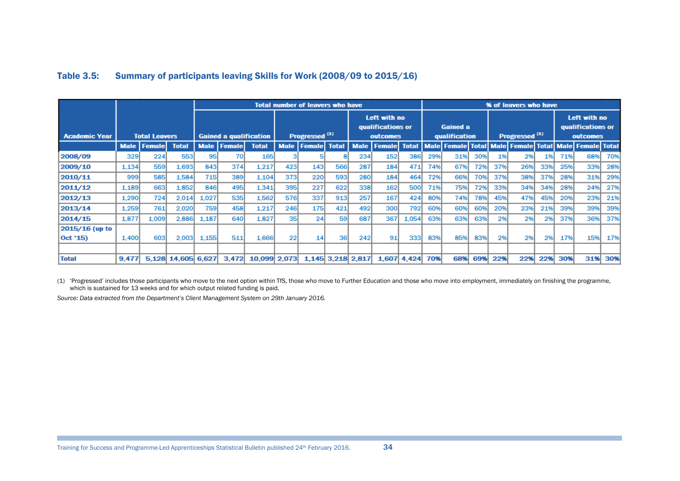|                      |       |                      |                    |       |                               |              |             | <b>Total number of leavers who have</b> |           |                   |                                               |       |     |                                  |     |     | % of leavers who have                                 |     |     |                                               |     |
|----------------------|-------|----------------------|--------------------|-------|-------------------------------|--------------|-------------|-----------------------------------------|-----------|-------------------|-----------------------------------------------|-------|-----|----------------------------------|-----|-----|-------------------------------------------------------|-----|-----|-----------------------------------------------|-----|
| <b>Academic Year</b> |       | <b>Total Leavers</b> |                    |       | <b>Gained a qualification</b> |              |             | Progressed <sup>(1)</sup>               |           |                   | Left with no<br>qualifications or<br>outcomes |       |     | <b>Gained a</b><br>qualification |     |     | Progressed <sup>(1)</sup>                             |     |     | Left with no<br>qualifications or<br>outcomes |     |
|                      |       | <b>Male   Female</b> | <b>Total</b>       |       | <b>Male Female</b>            | <b>Total</b> | <b>Male</b> | <b>Female</b> Total                     |           | <b>Male</b>       | <b>Female</b> Total                           |       |     |                                  |     |     | Male Female Total Male Female Total Male Female Total |     |     |                                               |     |
| 2008/09              | 329   | 224                  | 553                | 95    | 70                            | 165          |             |                                         |           | 234               | 152                                           | 386   | 29% | 31%                              | 30% | 196 | 2%                                                    | 1%  | 71% | 68%                                           | 70% |
| 2009/10              | 1.134 | 559                  | 1.693              | 843   | 374                           | 1.217        | 423         | 143                                     | 566       | 287               | 184                                           | 471   | 74% | 67%                              | 72% | 37% | 26%                                                   | 33% | 25% | 33%                                           | 28% |
| 2010/11              | 999   | 585                  | 1.584              | 715   | 389                           | 1.104        | 373         | 220                                     | 593       | <b>280</b>        | 184                                           | 464   | 72% | 66%                              | 70% | 37% | 38%                                                   | 37% | 28% | 31%                                           | 29% |
| 2011/12              | 1.189 | 663                  | 1.852              | 846   | 495                           | 1.341        | 395         | 227                                     | 622       | 338               | 162                                           | 500   | 71% | 75%                              | 72% | 33% | 34%                                                   | 34% | 28% | 24%                                           | 27% |
| 2012/13              | 1.290 | 724                  | 2.014              | 1.027 | 535                           | 1.562        | 576         | 337                                     | 913       | 257               | 167                                           | 424   | 80% | 74%                              | 78% | 45% | 47%                                                   | 45% | 20% | 23%                                           | 21% |
| 2013/14              | 1.259 | 761                  | 2.020              | 759   | 458                           | 1.217        | 246         | 175                                     | 421       | 492               | 300                                           | 792   | 60% | 60%                              | 60% | 20% | 23%                                                   | 21% | 39% | 39%                                           | 39% |
| 2014/15              | 1.877 | 1.009                | 2.886              | 1.187 | 640l                          | 1.827        | 35          | 24                                      | <b>59</b> | 687               | 367                                           | 1.054 | 63% | 63%                              | 63% | 2%  | 2%                                                    | 2%  | 37% | 36%                                           | 37% |
| 2015/16 (up to       |       |                      |                    |       |                               |              |             |                                         |           |                   |                                               |       |     |                                  |     |     |                                                       |     |     |                                               |     |
| $ $ Oct '15)         | 1.400 | 603                  | 2.003              | 1.155 | 511                           | 1.666        | 22          | 14                                      | 36        | 242               | 91                                            | 333   | 83% | 85%                              | 83% | 2%  | 2%                                                    | 2%  | 17% | 15%                                           | 17% |
|                      |       |                      |                    |       |                               |              |             |                                         |           |                   |                                               |       |     |                                  |     |     |                                                       |     |     |                                               |     |
| <b>Total</b>         | 9,477 |                      | 5.128 14.605 6.627 |       | 3.472                         | 10.099 2.073 |             |                                         |           | 1,145 3,218 2,817 | 1.607                                         | 4.424 | 70% | 68%                              | 69% | 22% | 22%                                                   | 22% | 30% | 31%                                           | 30% |

#### Table 3.5: Summary of participants leaving Skills for Work (2008/09 to 2015/16)

(1) 'Progressed' includes those participants who move to the next option within TfS, those who move to Further Education and those who move into employment, immediately on finishing the programme, which is sustained for 13 weeks and for which output related funding is paid.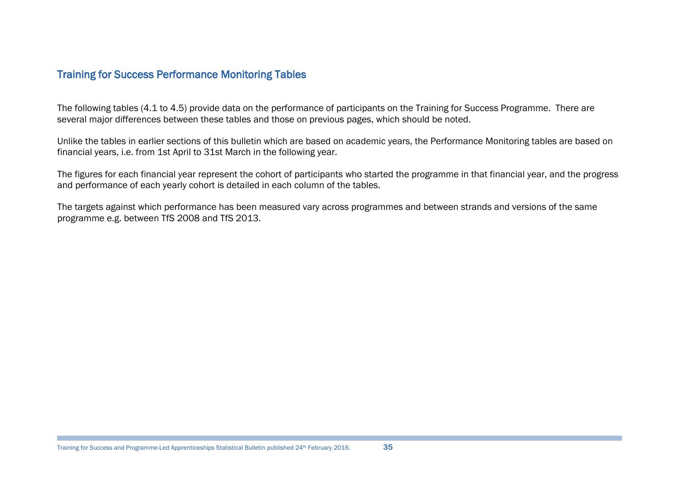# Training for Success Performance Monitoring Tables

The following tables (4.1 to 4.5) provide data on the performance of participants on the Training for Success Programme. There are several major differences between these tables and those on previous pages, which should be noted.

Unlike the tables in earlier sections of this bulletin which are based on academic years, the Performance Monitoring tables are based on financial years, i.e. from 1st April to 31st March in the following year.

The figures for each financial year represent the cohort of participants who started the programme in that financial year, and the progress and performance of each yearly cohort is detailed in each column of the tables.

The targets against which performance has been measured vary across programmes and between strands and versions of the same programme e.g. between TfS 2008 and TfS 2013.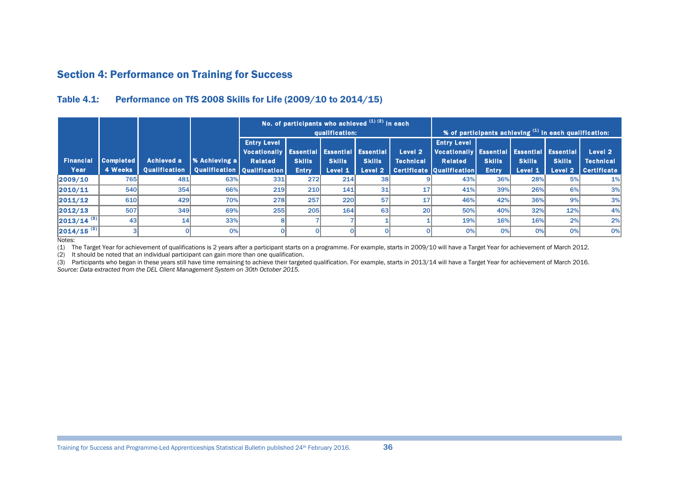# Section 4: Performance on Training for Success

#### Table 4.1: Performance on TfS 2008 Skills for Life (2009/10 to 2014/15)

|                        |                  |                      |                             |                     |               | qualification: | No. of participants who achieved $^{(1) (2)}$ in each |                  |                                                  |               | $\frac{1}{2}$ of participants achieving $^{(1)}$ in each qualification: |               |                    |
|------------------------|------------------|----------------------|-----------------------------|---------------------|---------------|----------------|-------------------------------------------------------|------------------|--------------------------------------------------|---------------|-------------------------------------------------------------------------|---------------|--------------------|
|                        |                  |                      |                             | <b>Entry Level</b>  |               |                |                                                       |                  | <b>Entry Level</b>                               |               |                                                                         |               |                    |
|                        |                  |                      |                             | <b>Vocationally</b> |               |                | <b>Essential   Essential   Essential  </b>            | Level 2          | Vocationally   Essential   Essential   Essential |               |                                                                         |               | Level 2            |
| <b>Financial</b>       | <b>Completed</b> | <b>Achieved a</b>    | <b>% Achieving a</b>        | <b>Related</b>      | <b>Skills</b> | <b>Skills</b>  | <b>Skills</b>                                         | <b>Technical</b> | <b>Related</b>                                   | <b>Skills</b> | <b>Skills</b>                                                           | <b>Skills</b> | <b>Technical</b>   |
| Year                   | 4 Weeks          | <b>Oualification</b> | Qualification Qualification |                     | <b>Entry</b>  | Level 1        | Level <sub>2</sub>                                    |                  | <b>Certificate   Qualification  </b>             | <b>Entry</b>  | Level 1                                                                 | Level 2       | <b>Certificate</b> |
| 2009/10                | 765              | 481                  | 63%                         | 331                 | 272           | 214            | <b>38</b>                                             |                  | 43%                                              | 36%           | 28%                                                                     | 5%            | 1%                 |
| 2010/11                | 540              | <b>354</b>           | 66%                         | 219                 | 210           | 141            | 31                                                    |                  | 41%                                              | 39%           | 26%                                                                     | 6%            | 3%                 |
| 2011/12                | 610              | 429                  | 70%                         | 278                 | 257           | 220            | 57                                                    | 17               | 46%                                              | 42%           | 36%                                                                     | 9%            | 3%                 |
| 2012/13                | 507              | 349                  | 69%                         | 255                 | 205           | 164            | 63                                                    | 20               | 50%                                              | 40%           | 32%                                                                     | 12%           | 4%                 |
| $\sqrt{2013/14}^{(3)}$ | 43 <sup>1</sup>  | 14                   | 33%                         |                     |               |                |                                                       |                  | 19%                                              | 16%           | 16%                                                                     | 2%            | 2%                 |
| $ 2014/15^{(3)} $      |                  |                      | 0%                          |                     |               |                |                                                       |                  | 0%                                               | 0%            | 0%                                                                      | 0%            | 0%                 |

Notes:

(1) The Target Year for achievement of qualifications is 2 years after a participant starts on a programme. For example, starts in 2009/10 will have a Target Year for achievement of March 2012.

(2) It should be noted that an individual participant can gain more than one qualification.

<span id="page-35-0"></span>(3) Participants who began in these years still have time remaining to achieve their targeted qualification. For example, starts in 2013/14 will have a Target Year for achievement of March 2016. *Source: Data extracted from the DEL Client Management System on 30th October 2015.*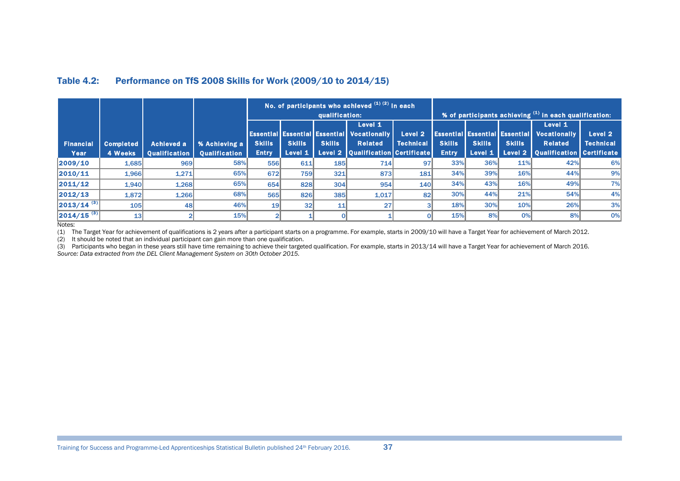|                                |                             |                                    |                                       | No. of participants who achieved $\overset{(1)}{(2)}$ in each<br>qualification:<br>Level 1 |                          |               |                                                                                                                         |                             |                               |                          |                                                                  | % of participants achieving (1) in each qualification:                                 |                             |
|--------------------------------|-----------------------------|------------------------------------|---------------------------------------|--------------------------------------------------------------------------------------------|--------------------------|---------------|-------------------------------------------------------------------------------------------------------------------------|-----------------------------|-------------------------------|--------------------------|------------------------------------------------------------------|----------------------------------------------------------------------------------------|-----------------------------|
| <b>Financial</b><br>Year       | <b>Completed</b><br>4 Weeks | Achieved a<br><b>Qualification</b> | % Achieving a<br><b>Qualification</b> | <b>Skills</b><br><b>Entry</b>                                                              | <b>Skills</b><br>Level 1 | <b>Skills</b> | <b>Essential Essential Essential   Vocationally</b><br><b>Related</b><br><b>Level 2   Qualification   Certificate  </b> | Level 2<br><b>Technical</b> | <b>Skills</b><br><b>Entry</b> | <b>Skills</b><br>Level 1 | <b>Essential Essential Essential</b><br><b>Skills</b><br>Level 2 | Level 1<br><b>Vocationally</b><br><b>Related</b><br><b>Oualification   Certificate</b> | Level 2<br><b>Technical</b> |
| 2009/10                        | 1,685                       | 969                                | 58%                                   | 556                                                                                        | 611                      | <b>185</b>    | 714                                                                                                                     | 97                          | 33%                           | 36%                      | 11%                                                              | 42%                                                                                    | 6%                          |
| 2010/11                        | 1,966                       | 1,271                              | 65%                                   | 672                                                                                        | <b>759</b>               | 321           | 873                                                                                                                     | 181                         | 34%                           | 39%                      | 16%                                                              | 44%                                                                                    | 9%                          |
| 2011/12                        | 1,940                       | 1,268                              | 65%                                   | 654                                                                                        | 828                      | 304           | 954                                                                                                                     | 140                         | 34%                           | 43%                      | 16%                                                              | 49%                                                                                    | 7%                          |
| 2012/13                        | 1,872                       | 1,266                              | 68%                                   | 565                                                                                        | 826                      | 385           | 1,017                                                                                                                   | 82                          | 30%                           | 44%                      | 21%                                                              | 54%                                                                                    | 4%                          |
| $\left  2013/14^{(3)} \right $ | 105                         | 48                                 | 46%                                   | 19                                                                                         | 32 <sub>l</sub>          | 11            | 27 <sup>1</sup>                                                                                                         |                             | 18%                           | 30%                      | 10%                                                              | 26%                                                                                    | 3%                          |
| $ 2014/15^{(3)} $              | 13                          |                                    | 15%                                   |                                                                                            |                          |               |                                                                                                                         |                             | 15%                           | 8%                       | 0%                                                               | 8%                                                                                     | 0%                          |

#### Table 4.2: Performance on TfS 2008 Skills for Work (2009/10 to 2014/15)

Notes:

(1) The Target Year for achievement of qualifications is 2 years after a participant starts on a programme. For example, starts in 2009/10 will have a Target Year for achievement of March 2012.

(2) It should be noted that an individual participant can gain more than one qualification.

<span id="page-36-0"></span>(3) Participants who began in these years still have time remaining to achieve their targeted qualification. For example, starts in 2013/14 will have a Target Year for achievement of March 2016. *Source: Data extracted from the DEL Client Management System on 30th October 2015.*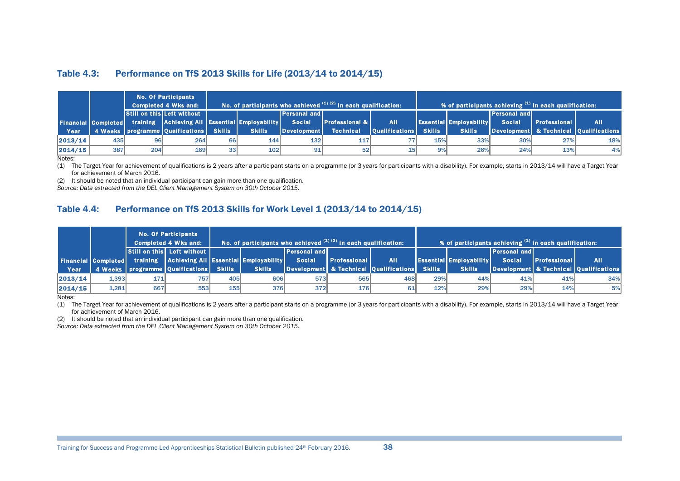#### Table 4.3: Performance on TfS 2013 Skills for Life (2013/14 to 2014/15)

|         |                            |     | <b>No. Of Participants</b><br><b>Completed 4 Wks and:</b> |                 |               |                       | No. of participants who achieved $(1)$ $(2)$ in each qualification: |                       |               |                                |                        | % of participants achieving (1) in each qualification: |                                        |
|---------|----------------------------|-----|-----------------------------------------------------------|-----------------|---------------|-----------------------|---------------------------------------------------------------------|-----------------------|---------------|--------------------------------|------------------------|--------------------------------------------------------|----------------------------------------|
|         |                            |     | <b>Still on this Left without</b>                         |                 |               | <b>Personal and L</b> |                                                                     |                       |               |                                | <b>IPersonal and I</b> |                                                        |                                        |
|         | <b>Financial Completed</b> |     | training Achieving All Essential Employability            |                 |               | <b>Social</b>         | <b>Professional &amp;  </b>                                         | <b>AII</b>            |               | <b>Essential Employability</b> | <b>Social</b>          | <b>Professional</b>                                    | <b>AII</b>                             |
| Year    |                            |     | 4 Weeks   programme   Qualfications   \                   | <b>Skills</b>   | <b>Skills</b> | <b>Development</b>    | <b>Technical</b>                                                    | <b>Oualifications</b> | <b>Skills</b> | <b>Skills</b>                  |                        |                                                        | Development & Technical Qualifications |
| 2013/14 | 435I                       | 96  | 264                                                       | <b>66</b>       | 144           | 132 <sup>1</sup>      | 117                                                                 |                       | 15%           | 33%                            | 30%                    | 27%                                                    | 18%                                    |
| 2014/15 | 387                        | 204 | 169                                                       | 33 <sup>1</sup> | 102           | 91                    | 52 <sub>l</sub>                                                     |                       | 9%            | 26%                            | 24%                    | 13%                                                    | 4%                                     |

Notes:

(1) The Target Year for achievement of qualifications is 2 years after a participant starts on a programme (or 3 years for participants with a disability). For example, starts in 2013/14 will have a Target Year for achievement of March 2016.

(2) It should be noted that an individual participant can gain more than one qualification.

*Source: Data extracted from the DEL Client Management System on 30th October 2015.*

#### Table 4.4: Performance on TfS 2013 Skills for Work Level 1 (2013/14 to 2014/15)

|         |        |     | <b>No. Of Participants</b><br><b>Completed 4 Wks and:</b>                 |               | No. of participants who achieved (1) (2) in each qualification: |                     |                     |                                        |               | % of participants achieving (1) in each qualification: |                     |                     |                                        |
|---------|--------|-----|---------------------------------------------------------------------------|---------------|-----------------------------------------------------------------|---------------------|---------------------|----------------------------------------|---------------|--------------------------------------------------------|---------------------|---------------------|----------------------------------------|
|         |        |     | Still on this Left without                                                |               |                                                                 | <b>Personal and</b> |                     |                                        |               |                                                        | <b>Personal and</b> |                     |                                        |
|         |        |     | <b>Financial Completed</b> training Achieving All Essential Employability |               |                                                                 | <b>Social</b>       | <b>Professional</b> | <b>All</b>                             |               | <b>Essential Employability</b>                         | <b>Social</b>       | <b>Professional</b> | <b>AII</b>                             |
| Year    |        |     | 4 Weeks   programme   Qualfications   \                                   | <b>Skills</b> | <b>Skills</b>                                                   |                     |                     | Development & Technical Qualifications | <b>Skills</b> | <b>Skills</b>                                          |                     |                     | Development & Technical Qualifications |
| 2013/14 | 1.3931 | 171 | 757                                                                       | <b>405</b>    | 606                                                             | <b>573</b>          | 565                 | 468                                    | 29%           | 44%                                                    | 41%                 | 41%                 | 34%                                    |
| 2014/15 | 1,281  | 667 | 553                                                                       | <b>155</b>    | <b>376</b>                                                      | 372                 | <b>176</b>          |                                        | 12%           | 29%                                                    | 29%                 | 14%                 | 5%                                     |

<span id="page-37-0"></span>Notes:

(1) The Target Year for achievement of qualifications is 2 years after a participant starts on a programme (or 3 years for participants with a disability). For example, starts in 2013/14 will have a Target Year for achievement of March 2016.

(2) It should be noted that an individual participant can gain more than one qualification.

<span id="page-37-1"></span>*Source: Data extracted from the DEL Client Management System on 30th October 2015.*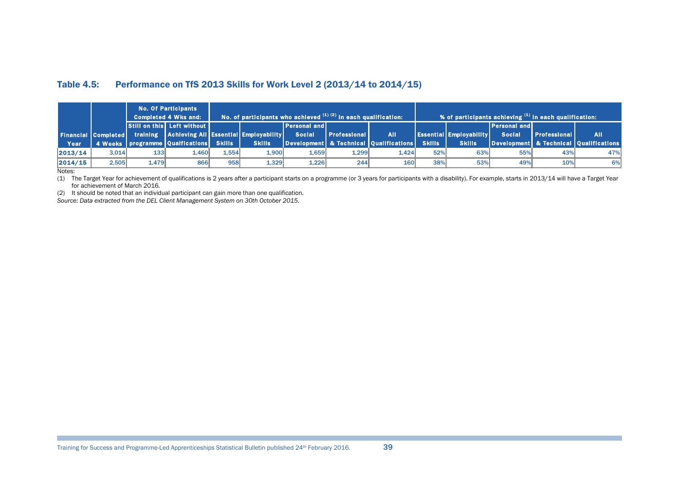#### Table 4.5: Performance on TfS 2013 Skills for Work Level 2 (2013/14 to 2014/15)

|         |       |            | <b>No. Of Participants</b><br><b>Completed 4 Wks and:</b>          |       | No. of participants who achieved $^{(1)(2)}$ in each qualification: |                     |                 |                                        |               | $\vert$ % of participants achieving $^{(1)}$ in each qualification: $\vert$ |                     |                     |                                        |
|---------|-------|------------|--------------------------------------------------------------------|-------|---------------------------------------------------------------------|---------------------|-----------------|----------------------------------------|---------------|-----------------------------------------------------------------------------|---------------------|---------------------|----------------------------------------|
|         |       |            | <b>Still on this Left without  </b>                                |       |                                                                     | <b>Personal and</b> |                 |                                        |               |                                                                             | <b>Personal and</b> |                     |                                        |
|         |       |            | Financial Completed training Achieving All Essential Employability |       |                                                                     | <b>Social</b>       | Professional IV | <b>All</b>                             |               | <b>Essential Employability</b>                                              | <b>Social</b>       | <b>Professional</b> | <b>AII</b>                             |
| Year    |       |            | 4 Weeks   programme   Qualfications   Skills                       |       | <b>Skills</b>                                                       |                     |                 | Development & Technical Qualifications | <b>Skills</b> | <b>Skills</b>                                                               |                     |                     | Development & Technical Qualifications |
| 2013/14 | 3.014 | <b>133</b> | L.460I                                                             | 1.554 | 1.900                                                               | 1.659               | 1,299           | 1,424                                  | 52%           | 63%                                                                         | 55%                 | 43%                 | 47%                                    |
| 2014/15 | 2,505 | 1.479      | <b>866</b>                                                         | 958   | 1.329                                                               | 1.226               | 244             | 160                                    | 38%           | 53%                                                                         | 49%                 | 10%                 | 6%                                     |

Notes:

(1) The Target Year for achievement of qualifications is 2 years after a participant starts on a programme (or 3 years for participants with a disability). For example, starts in 2013/14 will have a Target Year for achievement of March 2016.

(2) It should be noted that an individual participant can gain more than one qualification.

<span id="page-38-0"></span>*Source: Data extracted from the DEL Client Management System on 30th October 2015.*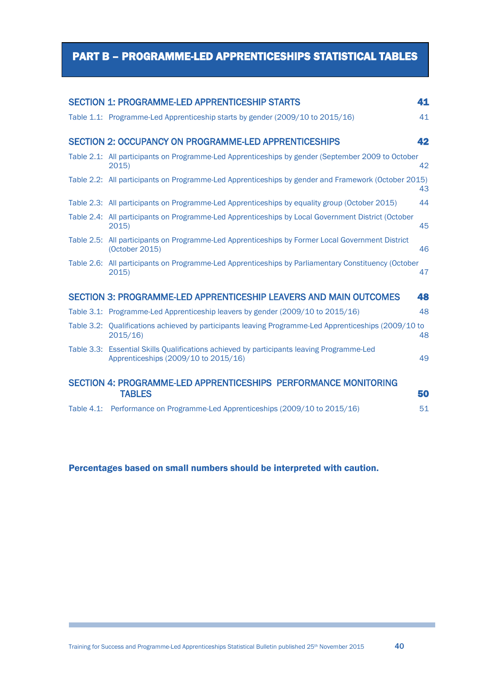# <span id="page-39-1"></span><span id="page-39-0"></span>PART B – PROGRAMME-LED APPRENTICESHIPS STATISTICAL TABLES

| <b>SECTION 1: PROGRAMME-LED APPRENTICESHIP STARTS</b>                                                                             | 41 |
|-----------------------------------------------------------------------------------------------------------------------------------|----|
| Table 1.1: Programme-Led Apprenticeship starts by gender (2009/10 to 2015/16)                                                     | 41 |
| <b>SECTION 2: OCCUPANCY ON PROGRAMME-LED APPRENTICESHIPS</b>                                                                      | 42 |
| Table 2.1: All participants on Programme-Led Apprenticeships by gender (September 2009 to October<br>2015)                        | 42 |
| Table 2.2: All participants on Programme-Led Apprenticeships by gender and Framework (October 2015)                               | 43 |
| Table 2.3: All participants on Programme-Led Apprenticeships by equality group (October 2015)                                     | 44 |
| Table 2.4: All participants on Programme-Led Apprenticeships by Local Government District (October<br>2015                        | 45 |
| Table 2.5: All participants on Programme-Led Apprenticeships by Former Local Government District<br>(October 2015)                | 46 |
| Table 2.6: All participants on Programme-Led Apprenticeships by Parliamentary Constituency (October<br>2015)                      | 47 |
| <b>SECTION 3: PROGRAMME-LED APPRENTICESHIP LEAVERS AND MAIN OUTCOMES</b>                                                          | 48 |
| Table 3.1: Programme-Led Apprenticeship leavers by gender (2009/10 to 2015/16)                                                    | 48 |
| Table 3.2: Qualifications achieved by participants leaving Programme-Led Apprenticeships (2009/10 to<br>2015/16                   | 48 |
| Table 3.3: Essential Skills Qualifications achieved by participants leaving Programme-Led<br>Apprenticeships (2009/10 to 2015/16) | 49 |
| SECTION 4: PROGRAMME-LED APPRENTICESHIPS PERFORMANCE MONITORING<br><b>TABLES</b>                                                  | 50 |
| Table 4.1: Performance on Programme-Led Apprenticeships (2009/10 to 2015/16)                                                      | 51 |

## Percentages based on small numbers should be interpreted with caution.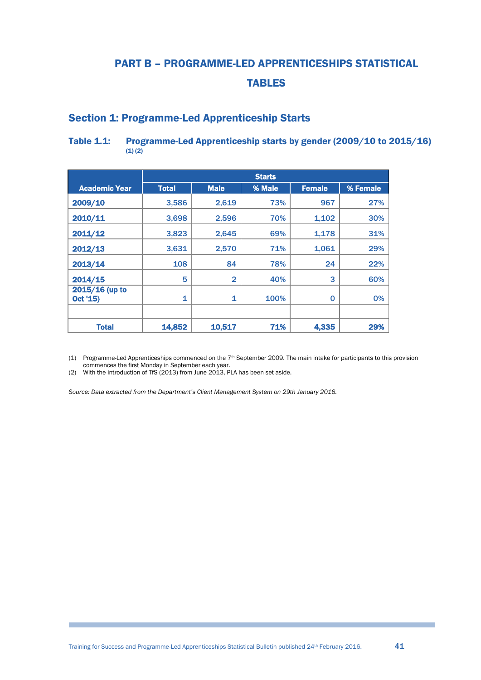# PART B – PROGRAMME-LED APPRENTICESHIPS STATISTICAL TABLES

# <span id="page-40-0"></span>Section 1: Programme-Led Apprenticeship Starts

#### Table 1.1: Programme-Led Apprenticeship starts by gender (2009/10 to 2015/16)  $(1)(2)$

|                            |              |                | <b>Starts</b> |               |          |
|----------------------------|--------------|----------------|---------------|---------------|----------|
| <b>Academic Year</b>       | <b>Total</b> | <b>Male</b>    | % Male        | <b>Female</b> | % Female |
| 2009/10                    | 3,586        | 2,619          | 73%           | 967           | 27%      |
| 2010/11                    | 3,698        | 2,596          | 70%           | 1,102         | 30%      |
| 2011/12                    | 3,823        | 2,645          | 69%           | 1,178         | 31%      |
| 2012/13                    | 3,631        | 2,570          | 71%           | 1,061         | 29%      |
| 2013/14                    | 108          | 84             | 78%           | 24            | 22%      |
| 2014/15                    | 5            | $\overline{2}$ | 40%           | 3             | 60%      |
| 2015/16 (up to<br>Oct '15) | 1            | 1              | 100%          | 0             | 0%       |
|                            |              |                |               |               |          |
| <b>Total</b>               | 14,852       | 10,517         | 71%           | 4,335         | 29%      |

(1) Programme-Led Apprenticeships commenced on the 7th September 2009. The main intake for participants to this provision commences the first Monday in September each year.

(2) With the introduction of TfS (2013) from June 2013, PLA has been set aside.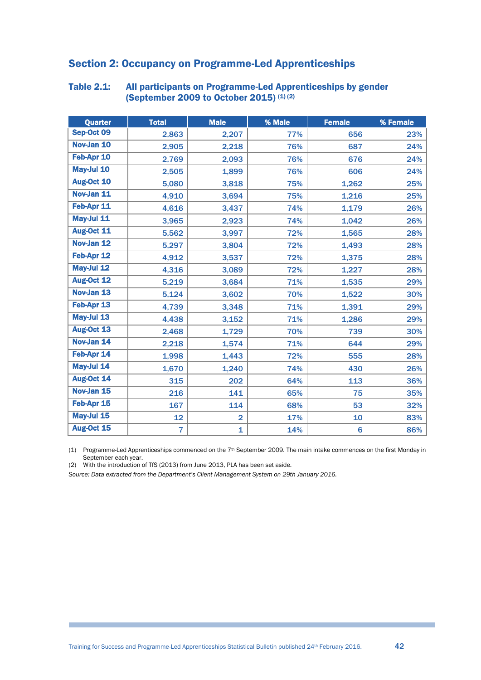# <span id="page-41-0"></span>Section 2: Occupancy on Programme-Led Apprenticeships

| Quarter    | <b>Total</b>   | <b>Male</b>    | % Male | <b>Female</b> | % Female |
|------------|----------------|----------------|--------|---------------|----------|
| Sep-Oct 09 | 2,863          | 2,207          | 77%    | 656           | 23%      |
| Nov-Jan 10 | 2,905          | 2,218          | 76%    | 687           | 24%      |
| Feb-Apr 10 | 2,769          | 2,093          | 76%    | 676           | 24%      |
| May-Jul 10 | 2,505          | 1,899          | 76%    | 606           | 24%      |
| Aug-Oct 10 | 5,080          | 3,818          | 75%    | 1,262         | 25%      |
| Nov-Jan 11 | 4,910          | 3,694          | 75%    | 1,216         | 25%      |
| Feb-Apr 11 | 4,616          | 3,437          | 74%    | 1,179         | 26%      |
| May-Jul 11 | 3,965          | 2,923          | 74%    | 1,042         | 26%      |
| Aug-Oct 11 | 5,562          | 3,997          | 72%    | 1,565         | 28%      |
| Nov-Jan 12 | 5,297          | 3,804          | 72%    | 1,493         | 28%      |
| Feb-Apr 12 | 4,912          | 3,537          | 72%    | 1,375         | 28%      |
| May-Jul 12 | 4,316          | 3,089          | 72%    | 1,227         | 28%      |
| Aug-Oct 12 | 5,219          | 3,684          | 71%    | 1,535         | 29%      |
| Nov-Jan 13 | 5,124          | 3,602          | 70%    | 1,522         | 30%      |
| Feb-Apr 13 | 4,739          | 3,348          | 71%    | 1,391         | 29%      |
| May-Jul 13 | 4,438          | 3,152          | 71%    | 1,286         | 29%      |
| Aug-Oct 13 | 2,468          | 1,729          | 70%    | 739           | 30%      |
| Nov-Jan 14 | 2,218          | 1,574          | 71%    | 644           | 29%      |
| Feb-Apr 14 | 1,998          | 1,443          | 72%    | 555           | 28%      |
| May-Jul 14 | 1,670          | 1,240          | 74%    | 430           | 26%      |
| Aug-Oct 14 | 315            | 202            | 64%    | 113           | 36%      |
| Nov-Jan 15 | 216            | 141            | 65%    | 75            | 35%      |
| Feb-Apr 15 | 167            | 114            | 68%    | 53            | 32%      |
| May-Jul 15 | 12             | $\overline{2}$ | 17%    | 10            | 83%      |
| Aug-Oct 15 | $\overline{7}$ | 1              | 14%    | 6             | 86%      |

#### <span id="page-41-1"></span>Table 2.1: All participants on Programme-Led Apprenticeships by gender (September 2009 to October 2015)  $(1)(2)$

(1) Programme-Led Apprenticeships commenced on the  $7<sup>th</sup>$  September 2009. The main intake commences on the first Monday in September each year.

(2) With the introduction of TfS (2013) from June 2013, PLA has been set aside.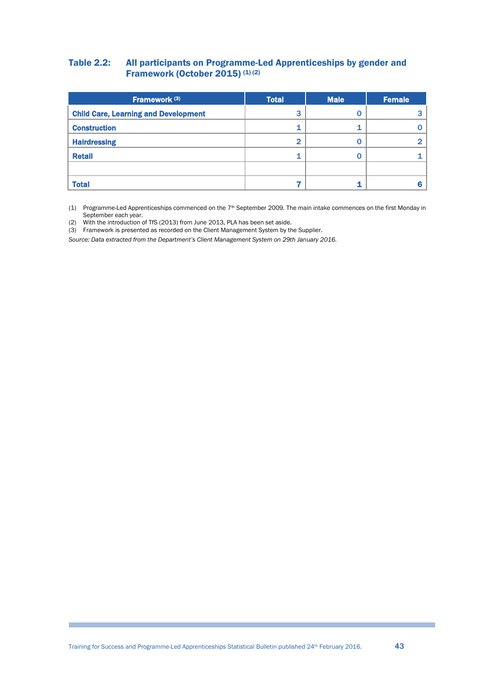#### <span id="page-42-0"></span>Table 2.2: All participants on Programme-Led Apprenticeships by gender and Framework (October 2015) (1) (2)

| Framework <sup>(3)</sup>                    | <b>Total</b> | <b>Male</b> | <b>Female</b> |  |
|---------------------------------------------|--------------|-------------|---------------|--|
| <b>Child Care, Learning and Development</b> | 3            | U           |               |  |
| <b>Construction</b>                         |              |             |               |  |
| <b>Hairdressing</b>                         | 2            | U           |               |  |
| <b>Retail</b>                               |              |             |               |  |
|                                             |              |             |               |  |
| <b>Total</b>                                |              |             |               |  |

(1) Programme-Led Apprenticeships commenced on the  $7<sup>th</sup>$  September 2009. The main intake commences on the first Monday in September each year.

- (2) With the introduction of TfS (2013) from June 2013, PLA has been set aside.
- (3) Framework is presented as recorded on the Client Management System by the Supplier.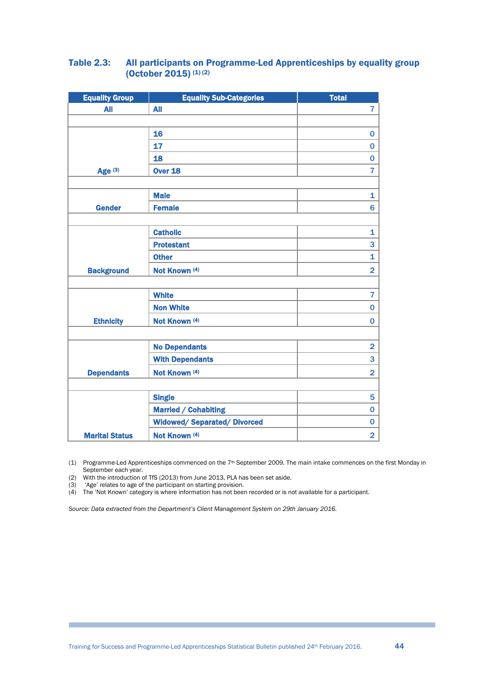#### <span id="page-43-0"></span>Table 2.3: All participants on Programme-Led Apprenticeships by equality group (October 2015)<sup>(1)(2)</sup>

| <b>Equality Group</b> | <b>Equality Sub-Categories</b>      | <b>Total</b>   |
|-----------------------|-------------------------------------|----------------|
| <b>All</b>            | <b>All</b>                          | $\overline{7}$ |
|                       |                                     |                |
|                       | 16                                  | $\mathbf 0$    |
|                       | 17                                  | $\bf{0}$       |
|                       | 18                                  | $\bf{0}$       |
| Age $(3)$             | <b>Over 18</b>                      | 7              |
|                       |                                     |                |
|                       | <b>Male</b>                         | 1              |
| <b>Gender</b>         | <b>Female</b>                       | 6              |
|                       |                                     |                |
|                       | <b>Catholic</b>                     | 1              |
|                       | <b>Protestant</b>                   | 3              |
|                       | <b>Other</b>                        | $\mathbf{1}$   |
| <b>Background</b>     | Not Known (4)                       | $\overline{2}$ |
|                       |                                     |                |
|                       | <b>White</b>                        | $\overline{7}$ |
|                       | <b>Non White</b>                    | $\mathbf 0$    |
| <b>Ethnicity</b>      | Not Known (4)                       | $\mathbf 0$    |
|                       |                                     |                |
|                       | <b>No Dependants</b>                | $\overline{2}$ |
|                       | <b>With Dependants</b>              | 3              |
| <b>Dependants</b>     | Not Known (4)                       | $\overline{2}$ |
|                       |                                     |                |
|                       | <b>Single</b>                       | 5              |
|                       | <b>Married / Cohabiting</b>         | $\mathbf 0$    |
|                       | <b>Widowed/ Separated/ Divorced</b> | $\mathbf 0$    |
| <b>Marital Status</b> | Not Known (4)                       | $\overline{2}$ |
|                       |                                     |                |

(1) Programme-Led Apprenticeships commenced on the  $7<sup>th</sup>$  September 2009. The main intake commences on the first Monday in September each year.

(2) With the introduction of TfS (2013) from June 2013, PLA has been set aside.<br>(3) 'Age' relates to age of the participant on starting provision.

'Age' relates to age of the participant on starting provision.

(4) The 'Not Known' category is where information has not been recorded or is not available for a participant.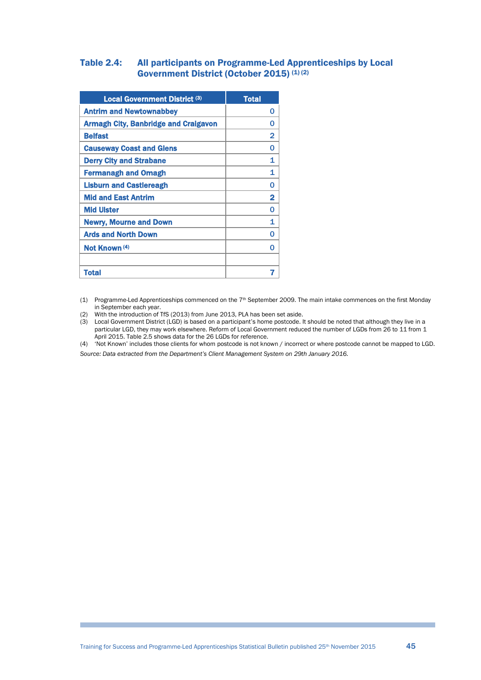#### <span id="page-44-0"></span>Table 2.4: All participants on Programme-Led Apprenticeships by Local Government District (October 2015) (1) (2)

| <b>Local Government District (3)</b>        | <b>Total</b> |
|---------------------------------------------|--------------|
| <b>Antrim and Newtownabbey</b>              | O            |
| <b>Armagh City, Banbridge and Craigavon</b> | n            |
| <b>Belfast</b>                              | 2            |
| <b>Causeway Coast and Glens</b>             | n            |
| <b>Derry City and Strabane</b>              | 1            |
| <b>Fermanagh and Omagh</b>                  | 1            |
| <b>Lisburn and Castlereagh</b>              | O            |
| <b>Mid and East Antrim</b>                  | 2            |
| <b>Mid Ulster</b>                           | ∩            |
| <b>Newry, Mourne and Down</b>               | 1            |
| <b>Ards and North Down</b>                  |              |
| Not Known (4)                               |              |
|                                             |              |
| <b>Total</b>                                |              |

(1) Programme-Led Apprenticeships commenced on the 7th September 2009. The main intake commences on the first Monday in September each year.

<sup>(2)</sup> With the introduction of TfS (2013) from June 2013, PLA has been set aside.

<sup>(3)</sup> Local Government District (LGD) is based on a participant's home postcode. It should be noted that although they live in a particular LGD, they may work elsewhere. Reform of Local Government reduced the number of LGDs from 26 to 11 from 1 April 2015. Table 2.5 shows data for the 26 LGDs for reference.

<sup>(4) &#</sup>x27;Not Known' includes those clients for whom postcode is not known / incorrect or where postcode cannot be mapped to LGD. *Source: Data extracted from the Department's Client Management System on 29th January 2016.*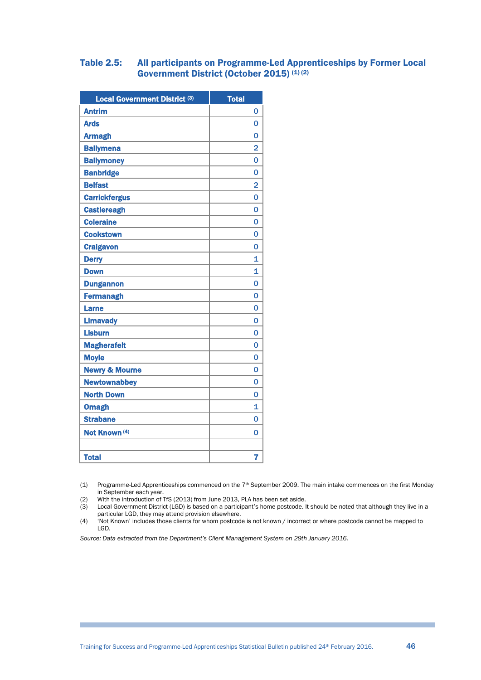#### Table 2.5: All participants on Programme-Led Apprenticeships by Former Local Government District (October 2015) (1) (2)

| Local Government District (3) | <b>Total</b>            |
|-------------------------------|-------------------------|
| <b>Antrim</b>                 | 0                       |
| <b>Ards</b>                   | 0                       |
| <b>Armagh</b>                 | 0                       |
| <b>Ballymena</b>              | $\overline{2}$          |
| <b>Ballymoney</b>             | 0                       |
| <b>Banbridge</b>              | 0                       |
| <b>Belfast</b>                | 2                       |
| <b>Carrickfergus</b>          | 0                       |
| <b>Castlereagh</b>            | 0                       |
| <b>Coleraine</b>              | 0                       |
| <b>Cookstown</b>              | 0                       |
| <b>Craigavon</b>              | 0                       |
| <b>Derry</b>                  | $\overline{\mathbf{1}}$ |
| <b>Down</b>                   | 1                       |
| <b>Dungannon</b>              | 0                       |
| <b>Fermanagh</b>              | 0                       |
| <b>Larne</b>                  | $\overline{0}$          |
| <b>Limavady</b>               | 0                       |
| <b>Lisburn</b>                | 0                       |
| <b>Magherafelt</b>            | 0                       |
| <b>Moyle</b>                  | 0                       |
| <b>Newry &amp; Mourne</b>     | 0                       |
| <b>Newtownabbey</b>           | 0                       |
| <b>North Down</b>             | 0                       |
| <b>Omagh</b>                  | 1                       |
| <b>Strabane</b>               | $\overline{0}$          |
| Not Known (4)                 | 0                       |
|                               |                         |
| <b>Total</b>                  | 7                       |

(1) Programme-Led Apprenticeships commenced on the 7<sup>th</sup> September 2009. The main intake commences on the first Monday in September each year.

(2) With the introduction of TfS (2013) from June 2013, PLA has been set aside.<br>(3) Local Government District (LGD) is based on a participant's home postcode.

(3) Local Government District (LGD) is based on a participant's home postcode. It should be noted that although they live in a particular LGD, they may attend provision elsewhere.

(4) 'Not Known' includes those clients for whom postcode is not known / incorrect or where postcode cannot be mapped to LGD.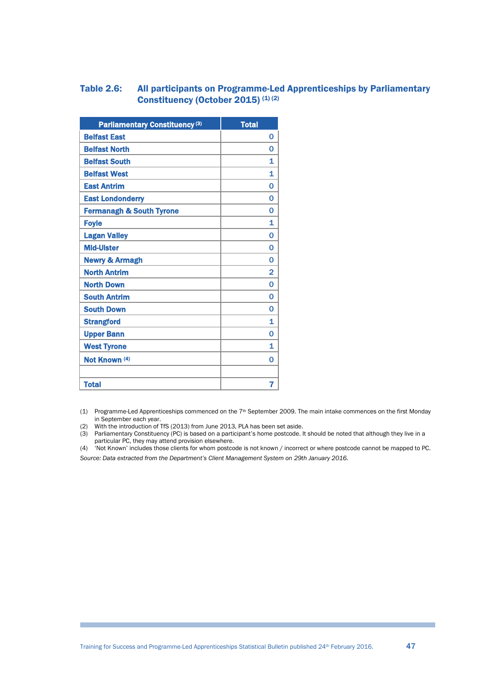#### <span id="page-46-0"></span>Table 2.6: All participants on Programme-Led Apprenticeships by Parliamentary Constituency (October 2015) (1) (2)

| Parliamentary Constituency <sup>(3)</sup> | <b>Total</b>   |
|-------------------------------------------|----------------|
| <b>Belfast East</b>                       | 0              |
| <b>Belfast North</b>                      | 0              |
| <b>Belfast South</b>                      | 1              |
| <b>Belfast West</b>                       | 1              |
| <b>East Antrim</b>                        | 0              |
| <b>East Londonderry</b>                   | 0              |
| <b>Fermanagh &amp; South Tyrone</b>       | 0              |
| <b>Foyle</b>                              | 1              |
| <b>Lagan Valley</b>                       | 0              |
| <b>Mid-Ulster</b>                         | 0              |
| <b>Newry &amp; Armagh</b>                 | 0              |
| <b>North Antrim</b>                       | 2              |
| <b>North Down</b>                         | $\overline{0}$ |
| <b>South Antrim</b>                       | 0              |
| <b>South Down</b>                         | 0              |
| <b>Strangford</b>                         | 1              |
| <b>Upper Bann</b>                         | 0              |
| <b>West Tyrone</b>                        | 1              |
| Not Known (4)                             | 0              |
|                                           |                |
| <b>Total</b>                              | 7              |

(1) Programme-Led Apprenticeships commenced on the  $7<sup>th</sup>$  September 2009. The main intake commences on the first Monday in September each year.

(2) With the introduction of TfS (2013) from June 2013, PLA has been set aside.

(3) Parliamentary Constituency (PC) is based on a participant's home postcode. It should be noted that although they live in a particular PC, they may attend provision elsewhere.

(4) 'Not Known' includes those clients for whom postcode is not known / incorrect or where postcode cannot be mapped to PC. *Source: Data extracted from the Department's Client Management System on 29th January 2016.*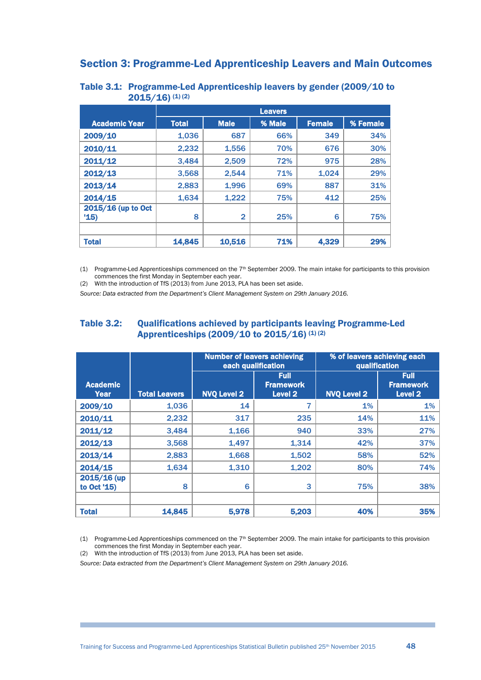# <span id="page-47-1"></span>Section 3: Programme-Led Apprenticeship Leavers and Main Outcomes

|                            | <b>Leavers</b> |                |        |               |          |  |  |  |
|----------------------------|----------------|----------------|--------|---------------|----------|--|--|--|
| <b>Academic Year</b>       | <b>Total</b>   | <b>Male</b>    | % Male | <b>Female</b> | % Female |  |  |  |
| 2009/10                    | 1,036          | 687            | 66%    | 349           | 34%      |  |  |  |
| 2010/11                    | 2,232          | 1,556          | 70%    | 676           | 30%      |  |  |  |
| 2011/12                    | 3,484          | 2,509          | 72%    | 975           | 28%      |  |  |  |
| 2012/13                    | 3,568          | 2,544          | 71%    | 1,024         | 29%      |  |  |  |
| 2013/14                    | 2,883          | 1,996          | 69%    | 887           | 31%      |  |  |  |
| 2014/15                    | 1,634          | 1,222          | 75%    | 412           | 25%      |  |  |  |
| 2015/16 (up to Oct<br>'15) | 8              | $\overline{2}$ | 25%    | 6             | 75%      |  |  |  |
| <b>Total</b>               | 14,845         | 10,516         | 71%    | 4,329         | 29%      |  |  |  |

#### <span id="page-47-2"></span>Table 3.1: Programme-Led Apprenticeship leavers by gender (2009/10 to  $2015/16$ ) (1) (2)

(1) Programme-Led Apprenticeships commenced on the 7th September 2009. The main intake for participants to this provision commences the first Monday in September each year.

(2) With the introduction of TfS (2013) from June 2013, PLA has been set aside.

*Source: Data extracted from the Department's Client Management System on 29th January 2016.*

#### <span id="page-47-0"></span>Table 3.2: Qualifications achieved by participants leaving Programme-Led Apprenticeships  $(2009/10 \text{ to } 2015/16)$  (1) (2)

|                            |                      | <b>Number of leavers achieving</b><br>each qualification |                                                       | % of leavers achieving each<br>qualification |                                                       |  |  |
|----------------------------|----------------------|----------------------------------------------------------|-------------------------------------------------------|----------------------------------------------|-------------------------------------------------------|--|--|
| <b>Academic</b><br>Year    | <b>Total Leavers</b> | <b>NVQ Level 2</b>                                       | <b>Full</b><br><b>Framework</b><br>Level <sub>2</sub> | <b>NVQ Level 2</b>                           | <b>Full</b><br><b>Framework</b><br>Level <sub>2</sub> |  |  |
| 2009/10                    | 1,036                | 14                                                       | 7                                                     | 1%                                           | 1%                                                    |  |  |
| 2010/11                    | 2,232                | 317                                                      | 235                                                   | 14%                                          | 11%                                                   |  |  |
| 2011/12                    | 3,484                | 1,166                                                    | 940                                                   | 33%                                          | 27%                                                   |  |  |
| 2012/13                    | 3,568                | 1,497                                                    | 1,314                                                 | 42%                                          | 37%                                                   |  |  |
| 2013/14                    | 2,883                | 1,668                                                    | 1,502                                                 | 58%                                          | 52%                                                   |  |  |
| 2014/15                    | 1,634                | 1,310                                                    | 1,202                                                 | 80%                                          | 74%                                                   |  |  |
| 2015/16 (up<br>to Oct '15) | 8                    | 6                                                        | 3                                                     | 75%                                          | 38%                                                   |  |  |
| <b>Total</b>               | 14,845               | 5,978                                                    | 5,203                                                 | 40%                                          | 35%                                                   |  |  |

(1) Programme-Led Apprenticeships commenced on the 7th September 2009. The main intake for participants to this provision commences the first Monday in September each year.

<span id="page-47-3"></span>(2) With the introduction of TfS (2013) from June 2013, PLA has been set aside.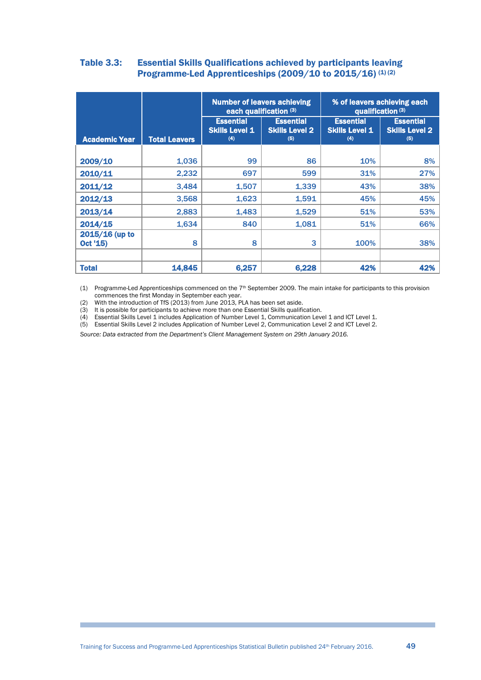#### Table 3.3: Essential Skills Qualifications achieved by participants leaving Programme-Led Apprenticeships  $(2009/10$  to  $2015/16)$  (1) (2)

|                            |                      | each qualification (3)                           | <b>Number of leavers achieving</b>               | % of leavers achieving each<br>qualification (3) |                                                  |  |  |
|----------------------------|----------------------|--------------------------------------------------|--------------------------------------------------|--------------------------------------------------|--------------------------------------------------|--|--|
| <b>Academic Year</b>       | <b>Total Leavers</b> | <b>Essential</b><br><b>Skills Level 1</b><br>(4) | <b>Essential</b><br><b>Skills Level 2</b><br>(5) | <b>Essential</b><br><b>Skills Level 1</b><br>(4) | <b>Essential</b><br><b>Skills Level 2</b><br>(5) |  |  |
|                            |                      |                                                  |                                                  |                                                  |                                                  |  |  |
| 2009/10                    | 1,036                | 99                                               | 86                                               | 10%                                              | 8%                                               |  |  |
| 2010/11                    | 2,232                | 697                                              | 599                                              | 31%                                              | 27%                                              |  |  |
| 2011/12                    | 3.484                | 1,507                                            | 1,339                                            | 43%                                              | 38%                                              |  |  |
| 2012/13                    | 3,568                | 1,623                                            | 1,591                                            | 45%                                              | 45%                                              |  |  |
| 2013/14                    | 2,883                | 1,483                                            | 1,529                                            | 51%                                              | 53%                                              |  |  |
| 2014/15                    | 1,634                | 840                                              | 1,081                                            | 51%                                              | 66%                                              |  |  |
| 2015/16 (up to<br>Oct '15) | 8                    | 8                                                | 3                                                | 100%                                             | 38%                                              |  |  |
|                            |                      |                                                  |                                                  |                                                  |                                                  |  |  |
| <b>Total</b>               | 14,845               | 6,257                                            | 6,228                                            | 42%                                              | 42%                                              |  |  |

(1) Programme-Led Apprenticeships commenced on the 7th September 2009. The main intake for participants to this provision commences the first Monday in September each year.

(2) With the introduction of TfS (2013) from June 2013, PLA has been set aside.

(3) It is possible for participants to achieve more than one Essential Skills qualification.

(4) Essential Skills Level 1 includes Application of Number Level 1, Communication Level 1 and ICT Level 1.

(5) Essential Skills Level 2 includes Application of Number Level 2, Communication Level 2 and ICT Level 2.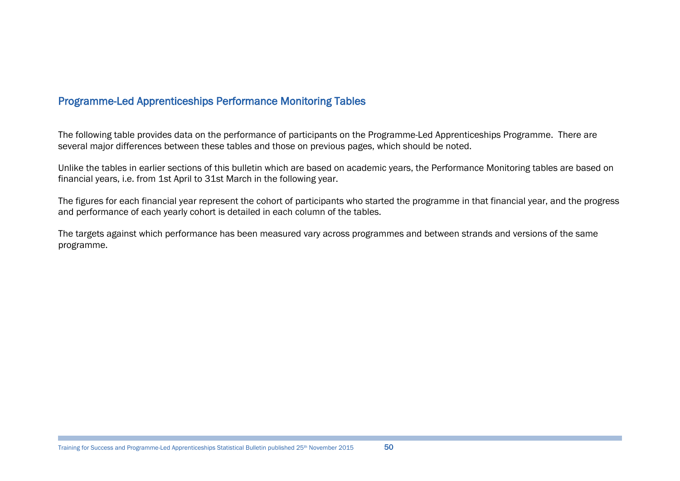# Programme-Led Apprenticeships Performance Monitoring Tables

The following table provides data on the performance of participants on the Programme-Led Apprenticeships Programme. There are several major differences between these tables and those on previous pages, which should be noted.

Unlike the tables in earlier sections of this bulletin which are based on academic years, the Performance Monitoring tables are based on financial years, i.e. from 1st April to 31st March in the following year.

The figures for each financial year represent the cohort of participants who started the programme in that financial year, and the progress and performance of each yearly cohort is detailed in each column of the tables.

The targets against which performance has been measured vary across programmes and between strands and versions of the same programme.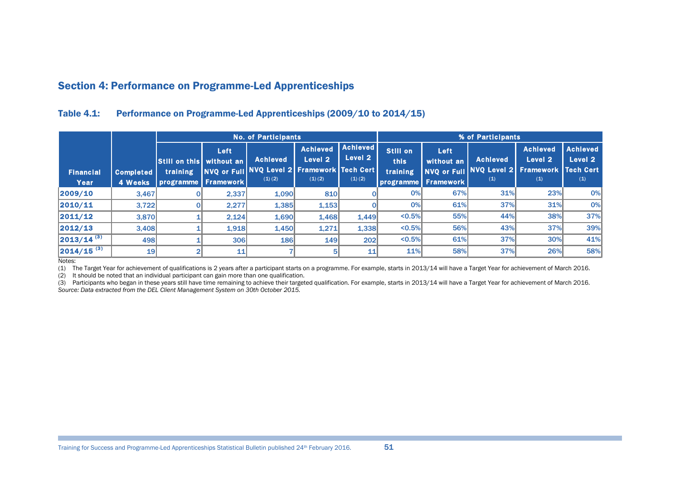# Section 4: Performance on Programme-Led Apprenticeships

#### Table 4.1: Performance on Programme-Led Apprenticeships (2009/10 to 2014/15)

|                          |                             | <b>No. of Participants</b>                                         |            |                                                                          |                                      |                                           |                              | % of Participants                                               |                                                           |                                              |                                   |  |
|--------------------------|-----------------------------|--------------------------------------------------------------------|------------|--------------------------------------------------------------------------|--------------------------------------|-------------------------------------------|------------------------------|-----------------------------------------------------------------|-----------------------------------------------------------|----------------------------------------------|-----------------------------------|--|
| <b>Financial</b><br>Year | <b>Completed</b><br>4 Weeks | <b>Still on this without an</b><br>training<br>programme Framework | Left       | <b>Achieved</b><br>NVQ or Full NVQ Level 2 Framework Tech Cert<br>(1)(2) | <b>Achieved</b><br>Level 2<br>(1)(2) | <b>Achieved</b><br>Level 2<br>$(1)$ $(2)$ | Still on<br>this<br>training | Left<br>without an<br><b>NVQ or Full</b><br>programme Framework | <b>Achieved</b><br>NVQ Level 2 Framework Tech Cert<br>(1) | <b>Achieved</b><br>Level <sub>2</sub><br>(1) | <b>Achieved</b><br>Level 2<br>(1) |  |
| 2009/10                  | 3,467                       |                                                                    | 2,337      | 1,090                                                                    | 810                                  |                                           | 0%                           | 67%                                                             | 31%                                                       | 23%                                          | 0%                                |  |
| 2010/11                  | 3,722                       |                                                                    | 2,277      | 1,385                                                                    | 1,153                                |                                           | 0%                           | 61%                                                             | 37%                                                       | 31%                                          | 0%                                |  |
| 2011/12                  | 3,870                       |                                                                    | 2,124      | 1,690                                                                    | 1.468                                | 1.449                                     | $< 0.5\%$                    | 55%                                                             | 44%                                                       | 38%                                          | 37%                               |  |
| 2012/13                  | 3.408                       |                                                                    | 1,918      | 1,450                                                                    | 1,271                                | 1,338                                     | $< 0.5\%$                    | 56%                                                             | 43%                                                       | 37%                                          | 39%                               |  |
| $ 2013/14^{(3)} $        | 498                         |                                                                    | <b>306</b> | <b>186</b>                                                               | <b>149</b>                           | 202                                       | $< 0.5\%$                    | 61%                                                             | 37%                                                       | 30%                                          | 41%                               |  |
| $2014/15^{(3)}$          | 19                          |                                                                    | 11         |                                                                          |                                      | 11                                        | 11%                          | 58%                                                             | 37%                                                       | 26%                                          | 58%                               |  |

Notes:

(1) The Target Year for achievement of qualifications is 2 years after a participant starts on a programme. For example, starts in 2013/14 will have a Target Year for achievement of March 2016.

(2) It should be noted that an individual participant can gain more than one qualification.

<span id="page-50-0"></span>(3) Participants who began in these years still have time remaining to achieve their targeted qualification. For example, starts in 2013/14 will have a Target Year for achievement of March 2016. *Source: Data extracted from the DEL Client Management System on 30th October 2015.*